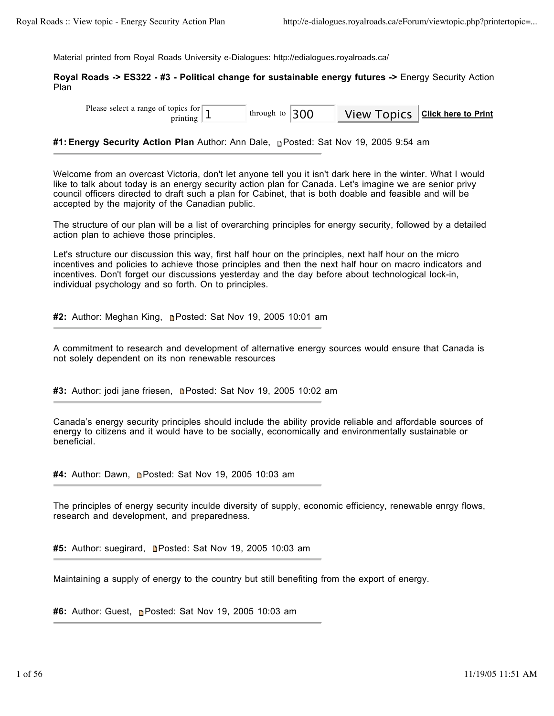Material printed from Royal Roads University e-Dialogues: http://edialogues.royalroads.ca/

**Royal Roads -> ES322 - #3 - Political change for sustainable energy futures ->** Energy Security Action Plan

| Please select a range of topics for $\boxed{1}$<br>printing $\vert \perp$ | through to $ 300$ |  |  | View Topics   Click here to Print |
|---------------------------------------------------------------------------|-------------------|--|--|-----------------------------------|
|---------------------------------------------------------------------------|-------------------|--|--|-----------------------------------|

**#1: Energy Security Action Plan** Author: Ann Dale, Posted: Sat Nov 19, 2005 9:54 am

Welcome from an overcast Victoria, don't let anyone tell you it isn't dark here in the winter. What I would like to talk about today is an energy security action plan for Canada. Let's imagine we are senior privy council officers directed to draft such a plan for Cabinet, that is both doable and feasible and will be accepted by the majority of the Canadian public.

The structure of our plan will be a list of overarching principles for energy security, followed by a detailed action plan to achieve those principles.

Let's structure our discussion this way, first half hour on the principles, next half hour on the micro incentives and policies to achieve those principles and then the next half hour on macro indicators and incentives. Don't forget our discussions yesterday and the day before about technological lock-in, individual psychology and so forth. On to principles.

**#2:** Author: Meghan King, Posted: Sat Nov 19, 2005 10:01 am

A commitment to research and development of alternative energy sources would ensure that Canada is not solely dependent on its non renewable resources

#3: Author: jodi jane friesen, **n**Posted: Sat Nov 19, 2005 10:02 am

Canada's energy security principles should include the ability provide reliable and affordable sources of energy to citizens and it would have to be socially, economically and environmentally sustainable or beneficial.

**#4:** Author: Dawn, Posted: Sat Nov 19, 2005 10:03 am

The principles of energy security inculde diversity of supply, economic efficiency, renewable enrgy flows, research and development, and preparedness.

#5: Author: suegirard, **n**Posted: Sat Nov 19, 2005 10:03 am

Maintaining a supply of energy to the country but still benefiting from the export of energy.

#6: Author: Guest, **n**Posted: Sat Nov 19, 2005 10:03 am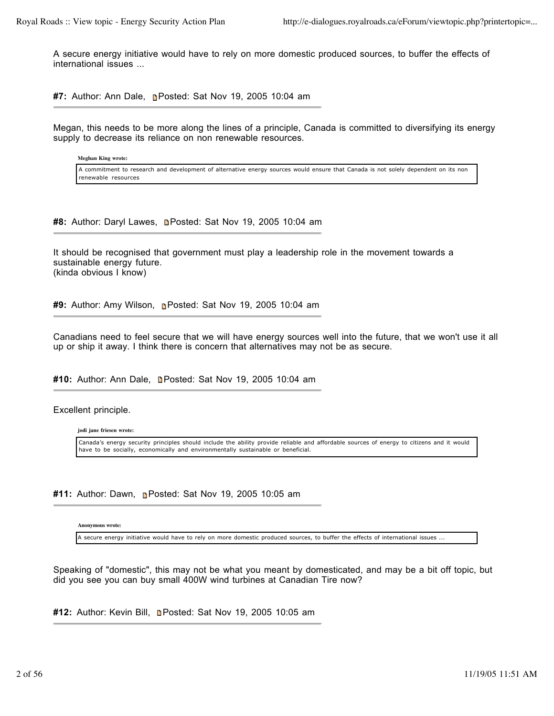A secure energy initiative would have to rely on more domestic produced sources, to buffer the effects of international issues ...

**#7:** Author: Ann Dale, **Posted: Sat Nov 19, 2005 10:04 am** 

Megan, this needs to be more along the lines of a principle, Canada is committed to diversifying its energy supply to decrease its reliance on non renewable resources.

**Meghan King wrote:**

A commitment to research and development of alternative energy sources would ensure that Canada is not solely dependent on its non renewable resources

**#8:** Author: Daryl Lawes, **n**Posted: Sat Nov 19, 2005 10:04 am

It should be recognised that government must play a leadership role in the movement towards a sustainable energy future. (kinda obvious I know)

**#9:** Author: Amy Wilson, Posted: Sat Nov 19, 2005 10:04 am

Canadians need to feel secure that we will have energy sources well into the future, that we won't use it all up or ship it away. I think there is concern that alternatives may not be as secure.

#10: Author: Ann Dale, **n**Posted: Sat Nov 19, 2005 10:04 am

Excellent principle.

**jodi jane friesen wrote:**

Canada's energy security principles should include the ability provide reliable and affordable sources of energy to citizens and it would have to be socially, economically and environmentally sustainable or beneficial.

**#11:** Author: Dawn, Posted: Sat Nov 19, 2005 10:05 am

**Anonymous wrote:**

A secure energy initiative would have to rely on more domestic produced sources, to buffer the effects of international issues ...

Speaking of "domestic", this may not be what you meant by domesticated, and may be a bit off topic, but did you see you can buy small 400W wind turbines at Canadian Tire now?

**#12:** Author: Kevin Bill, Posted: Sat Nov 19, 2005 10:05 am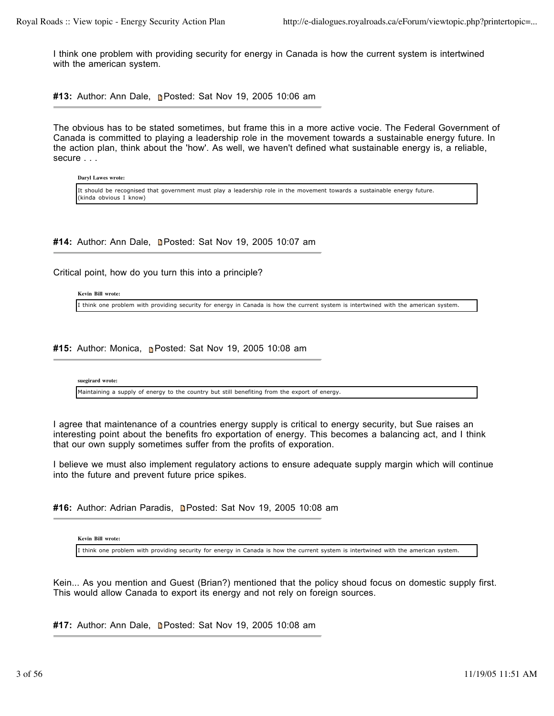I think one problem with providing security for energy in Canada is how the current system is intertwined with the american system.

**#13:** Author: Ann Dale, Posted: Sat Nov 19, 2005 10:06 am

The obvious has to be stated sometimes, but frame this in a more active vocie. The Federal Government of Canada is committed to playing a leadership role in the movement towards a sustainable energy future. In the action plan, think about the 'how'. As well, we haven't defined what sustainable energy is, a reliable, secure . . .

**Daryl Lawes wrote:**

It should be recognised that government must play a leadership role in the movement towards a sustainable energy future. (kinda obvious I know)

#14: Author: Ann Dale, **n**Posted: Sat Nov 19, 2005 10:07 am

Critical point, how do you turn this into a principle?

**Kevin Bill wrote:**

I think one problem with providing security for energy in Canada is how the current system is intertwined with the american system.

#15: Author: Monica, **Posted: Sat Nov 19, 2005 10:08 am** 

**suegirard wrote:**

Maintaining a supply of energy to the country but still benefiting from the export of energy.

I agree that maintenance of a countries energy supply is critical to energy security, but Sue raises an interesting point about the benefits fro exportation of energy. This becomes a balancing act, and I think that our own supply sometimes suffer from the profits of exporation.

I believe we must also implement regulatory actions to ensure adequate supply margin which will continue into the future and prevent future price spikes.

#16: Author: Adrian Paradis, **Deparation Sat Nov 19, 2005 10:08 am** 

**Kevin Bill wrote:**

I think one problem with providing security for energy in Canada is how the current system is intertwined with the american system.

Kein... As you mention and Guest (Brian?) mentioned that the policy shoud focus on domestic supply first. This would allow Canada to export its energy and not rely on foreign sources.

#17: Author: Ann Dale, **Posted: Sat Nov 19, 2005 10:08 am**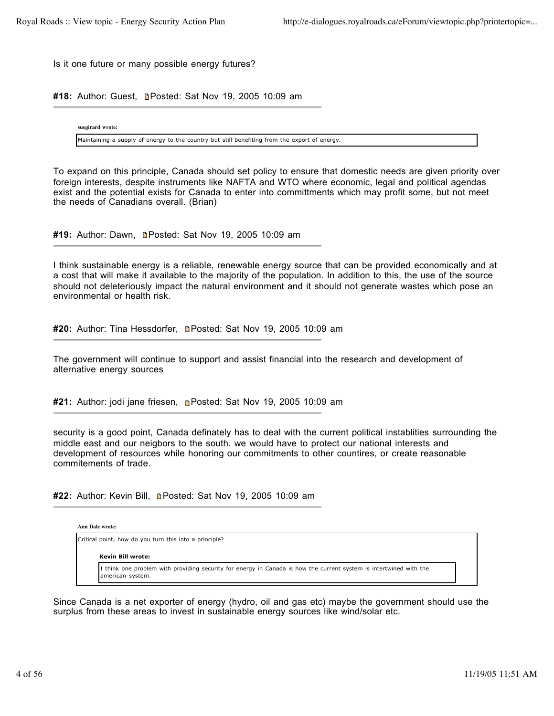Is it one future or many possible energy futures?

#18: Author: Guest, **n**Posted: Sat Nov 19, 2005 10:09 am

**suegirard wrote:**

Maintaining a supply of energy to the country but still benefiting from the export of energy.

To expand on this principle, Canada should set policy to ensure that domestic needs are given priority over foreign interests, despite instruments like NAFTA and WTO where economic, legal and political agendas exist and the potential exists for Canada to enter into committments which may profit some, but not meet the needs of Canadians overall. (Brian)

**#19:** Author: Dawn, Posted: Sat Nov 19, 2005 10:09 am

I think sustainable energy is a reliable, renewable energy source that can be provided economically and at a cost that will make it available to the majority of the population. In addition to this, the use of the source should not deleteriously impact the natural environment and it should not generate wastes which pose an environmental or health risk.

#20: Author: Tina Hessdorfer, **n**Posted: Sat Nov 19, 2005 10:09 am

The government will continue to support and assist financial into the research and development of alternative energy sources

**#21:** Author: jodi jane friesen, Posted: Sat Nov 19, 2005 10:09 am

security is a good point, Canada definately has to deal with the current political instablities surrounding the middle east and our neigbors to the south. we would have to protect our national interests and development of resources while honoring our commitments to other countires, or create reasonable commitements of trade.

**#22:** Author: Kevin Bill, Posted: Sat Nov 19, 2005 10:09 am

**Ann Dale wrote:**

Critical point, how do you turn this into a principle?

### **Kevin Bill wrote:**

I think one problem with providing security for energy in Canada is how the current system is intertwined with the american system.

Since Canada is a net exporter of energy (hydro, oil and gas etc) maybe the government should use the surplus from these areas to invest in sustainable energy sources like wind/solar etc.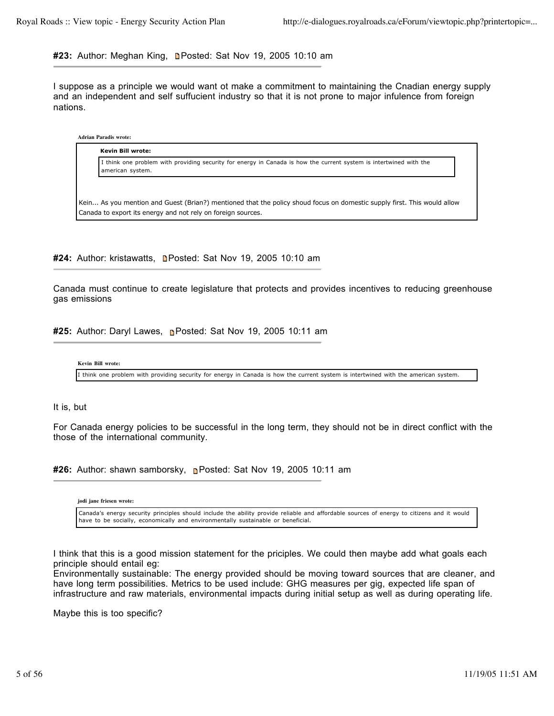# **#23:** Author: Meghan King, Posted: Sat Nov 19, 2005 10:10 am

I suppose as a principle we would want ot make a commitment to maintaining the Cnadian energy supply and an independent and self suffucient industry so that it is not prone to major infulence from foreign nations.

# **Adrian Paradis wrote:**

**Kevin Bill wrote:** I think one problem with providing security for energy in Canada is how the current system is intertwined with the american system.

Kein... As you mention and Guest (Brian?) mentioned that the policy shoud focus on domestic supply first. This would allow Canada to export its energy and not rely on foreign sources.

#24: Author: kristawatts, **n**Posted: Sat Nov 19, 2005 10:10 am

Canada must continue to create legislature that protects and provides incentives to reducing greenhouse gas emissions

**#25:** Author: Daryl Lawes, **P**osted: Sat Nov 19, 2005 10:11 am

```
Kevin Bill wrote:
```
I think one problem with providing security for energy in Canada is how the current system is intertwined with the american system.

# It is, but

For Canada energy policies to be successful in the long term, they should not be in direct conflict with the those of the international community.

**#26:** Author: shawn samborsky, Posted: Sat Nov 19, 2005 10:11 am

**jodi jane friesen wrote:**

Canada's energy security principles should include the ability provide reliable and affordable sources of energy to citizens and it would have to be socially, economically and environmentally sustainable or beneficial.

I think that this is a good mission statement for the priciples. We could then maybe add what goals each principle should entail eg:

Environmentally sustainable: The energy provided should be moving toward sources that are cleaner, and have long term possibilities. Metrics to be used include: GHG measures per gig, expected life span of infrastructure and raw materials, environmental impacts during initial setup as well as during operating life.

Maybe this is too specific?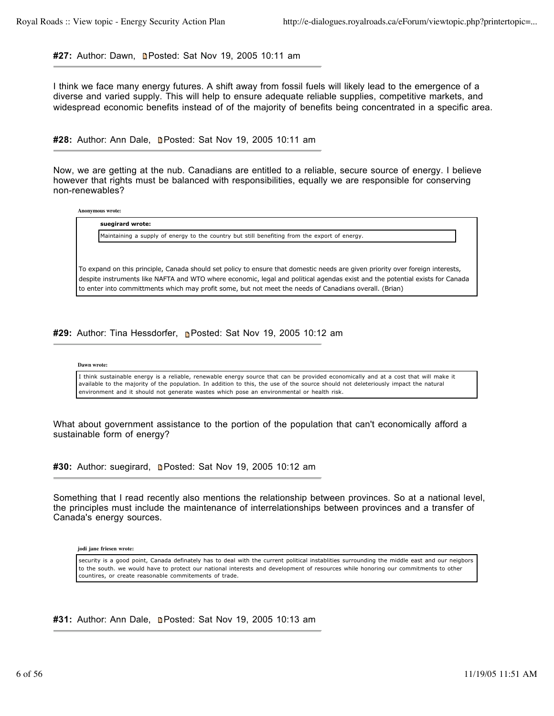**#27:** Author: Dawn, Posted: Sat Nov 19, 2005 10:11 am

I think we face many energy futures. A shift away from fossil fuels will likely lead to the emergence of a diverse and varied supply. This will help to ensure adequate reliable supplies, competitive markets, and widespread economic benefits instead of of the majority of benefits being concentrated in a specific area.

**#28:** Author: Ann Dale, Posted: Sat Nov 19, 2005 10:11 am

Now, we are getting at the nub. Canadians are entitled to a reliable, secure source of energy. I believe however that rights must be balanced with responsibilities, equally we are responsible for conserving non-renewables?

**Anonymous wrote:**



To expand on this principle, Canada should set policy to ensure that domestic needs are given priority over foreign interests, despite instruments like NAFTA and WTO where economic, legal and political agendas exist and the potential exists for Canada to enter into committments which may profit some, but not meet the needs of Canadians overall. (Brian)

**#29:** Author: Tina Hessdorfer, Posted: Sat Nov 19, 2005 10:12 am

### **Dawn wrote:**

I think sustainable energy is a reliable, renewable energy source that can be provided economically and at a cost that will make it available to the majority of the population. In addition to this, the use of the source should not deleteriously impact the natural environment and it should not generate wastes which pose an environmental or health risk.

What about government assistance to the portion of the population that can't economically afford a sustainable form of energy?

**#30:** Author: suegirard, Posted: Sat Nov 19, 2005 10:12 am

Something that I read recently also mentions the relationship between provinces. So at a national level, the principles must include the maintenance of interrelationships between provinces and a transfer of Canada's energy sources.

**jodi jane friesen wrote:**

security is a good point, Canada definately has to deal with the current political instablities surrounding the middle east and our neigbors to the south. we would have to protect our national interests and development of resources while honoring our commitments to other countires, or create reasonable commitements of trade.

**#31:** Author: Ann Dale, **Denvery 8th Sat Nov 19, 2005 10:13 am**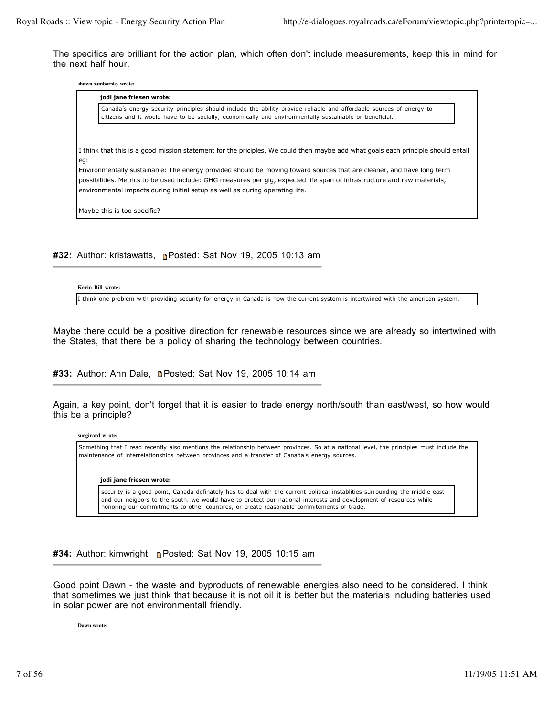The specifics are brilliant for the action plan, which often don't include measurements, keep this in mind for the next half hour.

**shawn samborsky wrote:**

|     | jodi jane friesen wrote:                                                                                                                                                                                                      |  |
|-----|-------------------------------------------------------------------------------------------------------------------------------------------------------------------------------------------------------------------------------|--|
|     | Canada's energy security principles should include the ability provide reliable and affordable sources of energy to<br>citizens and it would have to be socially, economically and environmentally sustainable or beneficial. |  |
|     |                                                                                                                                                                                                                               |  |
| eg: | I think that this is a good mission statement for the priciples. We could then maybe add what goals each principle should entail                                                                                              |  |
|     | Environmentally sustainable: The energy provided should be moving toward sources that are cleaner, and have long term                                                                                                         |  |
|     | possibilities. Metrics to be used include: GHG measures per gig, expected life span of infrastructure and raw materials,<br>environmental impacts during initial setup as well as during operating life.                      |  |
|     | Maybe this is too specific?                                                                                                                                                                                                   |  |

**#32:** Author: kristawatts, **Posted: Sat Nov 19, 2005 10:13 am** 

**Kevin Bill wrote:**

I think one problem with providing security for energy in Canada is how the current system is intertwined with the american system.

Maybe there could be a positive direction for renewable resources since we are already so intertwined with the States, that there be a policy of sharing the technology between countries.

#33: Author: Ann Dale, **n**Posted: Sat Nov 19, 2005 10:14 am

Again, a key point, don't forget that it is easier to trade energy north/south than east/west, so how would this be a principle?

**suegirard wrote:**

Something that I read recently also mentions the relationship between provinces. So at a national level, the principles must include the maintenance of interrelationships between provinces and a transfer of Canada's energy sources.

### **jodi jane friesen wrote:**

security is a good point, Canada definately has to deal with the current political instablities surrounding the middle east and our neigbors to the south. we would have to protect our national interests and development of resources while honoring our commitments to other countires, or create reasonable commitements of trade.

**#34:** Author: kimwright, Posted: Sat Nov 19, 2005 10:15 am

Good point Dawn - the waste and byproducts of renewable energies also need to be considered. I think that sometimes we just think that because it is not oil it is better but the materials including batteries used in solar power are not environmentall friendly.

**Dawn wrote:**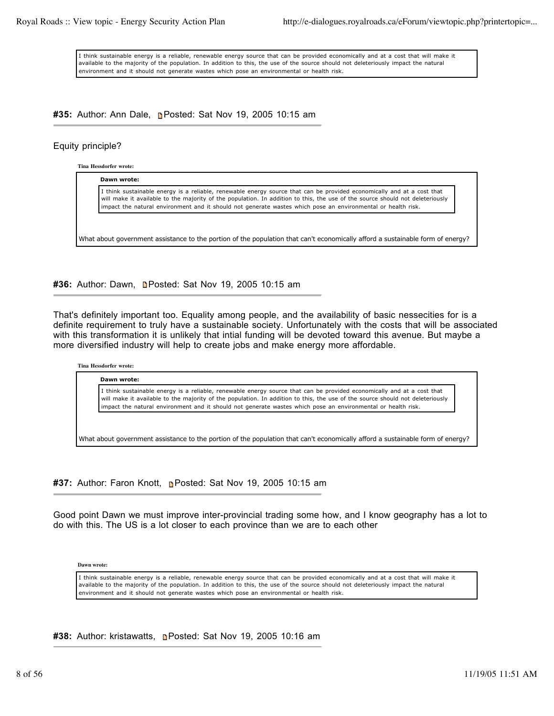I think sustainable energy is a reliable, renewable energy source that can be provided economically and at a cost that will make it available to the majority of the population. In addition to this, the use of the source should not deleteriously impact the natural environment and it should not generate wastes which pose an environmental or health risk.

**#35:** Author: Ann Dale, Posted: Sat Nov 19, 2005 10:15 am

# Equity principle?

**Tina Hessdorfer wrote:**

**Dawn wrote:**

I think sustainable energy is a reliable, renewable energy source that can be provided economically and at a cost that will make it available to the majority of the population. In addition to this, the use of the source should not deleteriously impact the natural environment and it should not generate wastes which pose an environmental or health risk.

What about government assistance to the portion of the population that can't economically afford a sustainable form of energy?

#36: Author: Dawn, **n**Posted: Sat Nov 19, 2005 10:15 am

That's definitely important too. Equality among people, and the availability of basic nessecities for is a definite requirement to truly have a sustainable society. Unfortunately with the costs that will be associated with this transformation it is unlikely that intial funding will be devoted toward this avenue. But maybe a more diversified industry will help to create jobs and make energy more affordable.

# **Tina Hessdorfer wrote:**

**Dawn wrote:**

I think sustainable energy is a reliable, renewable energy source that can be provided economically and at a cost that will make it available to the majority of the population. In addition to this, the use of the source should not deleteriously impact the natural environment and it should not generate wastes which pose an environmental or health risk.

What about government assistance to the portion of the population that can't economically afford a sustainable form of energy?

**#37:** Author: Faron Knott, Posted: Sat Nov 19, 2005 10:15 am

Good point Dawn we must improve inter-provincial trading some how, and I know geography has a lot to do with this. The US is a lot closer to each province than we are to each other

**Dawn wrote:**

I think sustainable energy is a reliable, renewable energy source that can be provided economically and at a cost that will make it available to the majority of the population. In addition to this, the use of the source should not deleteriously impact the natural environment and it should not generate wastes which pose an environmental or health risk.

**#38:** Author: kristawatts, Posted: Sat Nov 19, 2005 10:16 am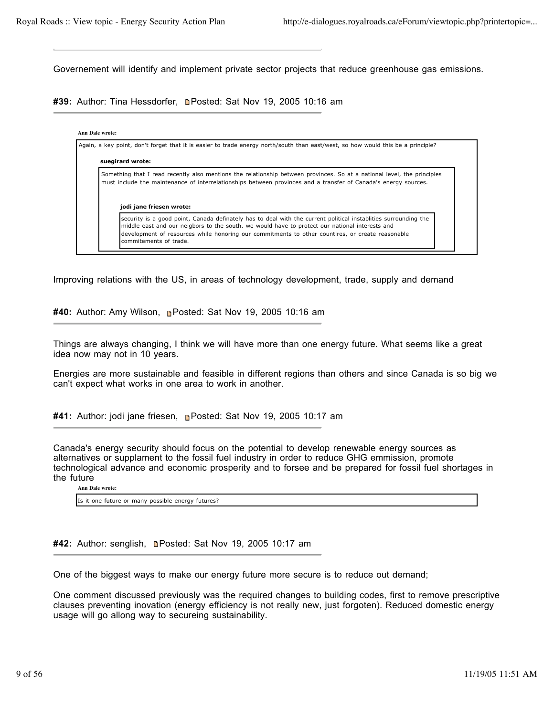Governement will identify and implement private sector projects that reduce greenhouse gas emissions.

**#39:** Author: Tina Hessdorfer, **n**Posted: Sat Nov 19, 2005 10:16 am

### **Ann Dale wrote:**

Again, a key point, don't forget that it is easier to trade energy north/south than east/west, so how would this be a principle? **suegirard wrote:** Something that I read recently also mentions the relationship between provinces. So at a national level, the principles must include the maintenance of interrelationships between provinces and a transfer of Canada's energy sources. **jodi jane friesen wrote:** security is a good point, Canada definately has to deal with the current political instablities surrounding the middle east and our neigbors to the south. we would have to protect our national interests and development of resources while honoring our commitments to other countires, or create reasonable commitements of trade.

Improving relations with the US, in areas of technology development, trade, supply and demand

**#40:** Author: Amy Wilson, Posted: Sat Nov 19, 2005 10:16 am

Things are always changing, I think we will have more than one energy future. What seems like a great idea now may not in 10 years.

Energies are more sustainable and feasible in different regions than others and since Canada is so big we can't expect what works in one area to work in another.

#41: Author: jodi jane friesen, **n**Posted: Sat Nov 19, 2005 10:17 am

Canada's energy security should focus on the potential to develop renewable energy sources as alternatives or supplament to the fossil fuel industry in order to reduce GHG emmission, promote technological advance and economic prosperity and to forsee and be prepared for fossil fuel shortages in the future

**Ann Dale wrote:**

Is it one future or many possible energy futures?

**#42:** Author: senglish, **n**Posted: Sat Nov 19, 2005 10:17 am

One of the biggest ways to make our energy future more secure is to reduce out demand;

One comment discussed previously was the required changes to building codes, first to remove prescriptive clauses preventing inovation (energy efficiency is not really new, just forgoten). Reduced domestic energy usage will go allong way to secureing sustainability.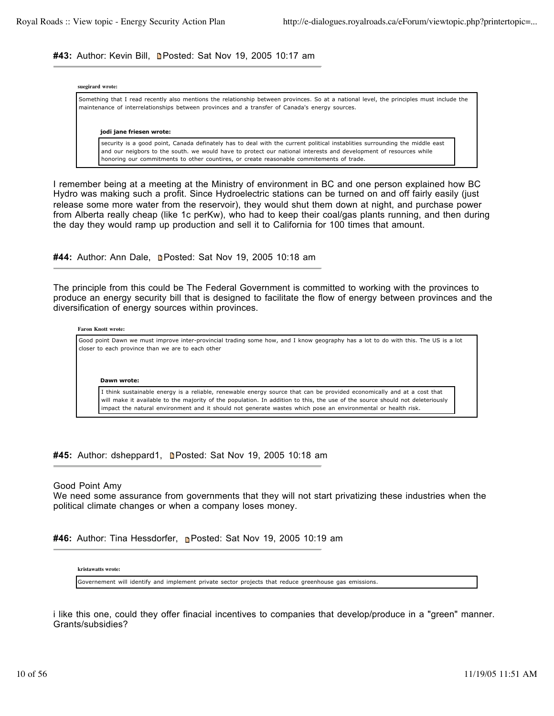## **#43:** Author: Kevin Bill, Posted: Sat Nov 19, 2005 10:17 am

#### **suegirard wrote:**

Something that I read recently also mentions the relationship between provinces. So at a national level, the principles must include the maintenance of interrelationships between provinces and a transfer of Canada's energy sources.

#### **jodi jane friesen wrote:**

security is a good point, Canada definately has to deal with the current political instablities surrounding the middle east and our neigbors to the south. we would have to protect our national interests and development of resources while honoring our commitments to other countires, or create reasonable commitements of trade.

I remember being at a meeting at the Ministry of environment in BC and one person explained how BC Hydro was making such a profit. Since Hydroelectric stations can be turned on and off fairly easily (just release some more water from the reservoir), they would shut them down at night, and purchase power from Alberta really cheap (like 1c perKw), who had to keep their coal/gas plants running, and then during the day they would ramp up production and sell it to California for 100 times that amount.

#44: Author: Ann Dale, **n**Posted: Sat Nov 19, 2005 10:18 am

The principle from this could be The Federal Government is committed to working with the provinces to produce an energy security bill that is designed to facilitate the flow of energy between provinces and the diversification of energy sources within provinces.

#### **Faron Knott wrote:**

Good point Dawn we must improve inter-provincial trading some how, and I know geography has a lot to do with this. The US is a lot closer to each province than we are to each other

**Dawn wrote:**

I think sustainable energy is a reliable, renewable energy source that can be provided economically and at a cost that will make it available to the majority of the population. In addition to this, the use of the source should not deleteriously impact the natural environment and it should not generate wastes which pose an environmental or health risk.

**#45:** Author: dsheppard1, **n**Posted: Sat Nov 19, 2005 10:18 am

### Good Point Amy

We need some assurance from governments that they will not start privatizing these industries when the political climate changes or when a company loses money.

#46: Author: Tina Hessdorfer, **n**Posted: Sat Nov 19, 2005 10:19 am

#### **kristawatts wrote:**

Governement will identify and implement private sector projects that reduce greenhouse gas emissions.

i like this one, could they offer finacial incentives to companies that develop/produce in a "green" manner. Grants/subsidies?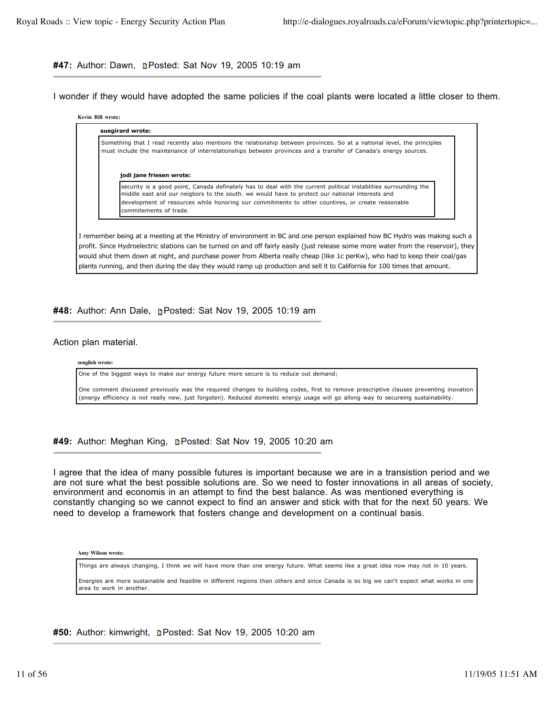# #47: Author: Dawn, **Denatated: Sat Nov 19, 2005 10:19 am**

I wonder if they would have adopted the same policies if the coal plants were located a little closer to them.

# **Kevin Bill wrote: suegirard wrote:** Something that I read recently also mentions the relationship between provinces. So at a national level, the principles must include the maintenance of interrelationships between provinces and a transfer of Canada's energy sources. **jodi jane friesen wrote:** security is a good point, Canada definately has to deal with the current political instablities surrounding the middle east and our neigbors to the south. we would have to protect our national interests and development of resources while honoring our commitments to other countires, or create reasonable commitements of trade. I remember being at a meeting at the Ministry of environment in BC and one person explained how BC Hydro was making such a

profit. Since Hydroelectric stations can be turned on and off fairly easily (just release some more water from the reservoir), they would shut them down at night, and purchase power from Alberta really cheap (like 1c perKw), who had to keep their coal/gas plants running, and then during the day they would ramp up production and sell it to California for 100 times that amount.

# **#48:** Author: Ann Dale, Posted: Sat Nov 19, 2005 10:19 am

### Action plan material.

### **senglish wrote:**

One of the biggest ways to make our energy future more secure is to reduce out demand;

One comment discussed previously was the required changes to building codes, first to remove prescriptive clauses preventing inovation (energy efficiency is not really new, just forgoten). Reduced domestic energy usage will go allong way to secureing sustainability.

#49: Author: Meghan King, **n**Posted: Sat Nov 19, 2005 10:20 am

I agree that the idea of many possible futures is important because we are in a transistion period and we are not sure what the best possible solutions are. So we need to foster innovations in all areas of society, environment and economis in an attempt to find the best balance. As was mentioned everything is constantly changing so we cannot expect to find an answer and stick with that for the next 50 years. We need to develop a framework that fosters change and development on a continual basis.

**Amy Wilson wrote:**

Things are always changing, I think we will have more than one energy future. What seems like a great idea now may not in 10 years.

Energies are more sustainable and feasible in different regions than others and since Canada is so big we can't expect what works in one area to work in another.

#50: Author: kimwright, **n**Posted: Sat Nov 19, 2005 10:20 am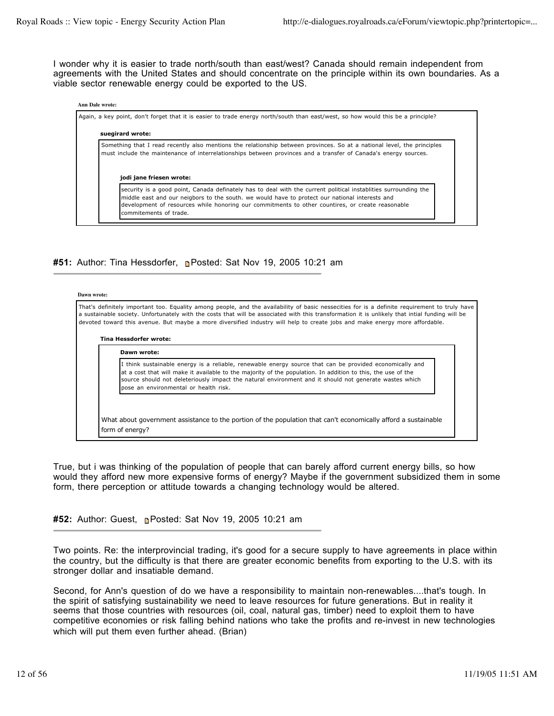I wonder why it is easier to trade north/south than east/west? Canada should remain independent from agreements with the United States and should concentrate on the principle within its own boundaries. As a viable sector renewable energy could be exported to the US.

### **Ann Dale wrote:**

Again, a key point, don't forget that it is easier to trade energy north/south than east/west, so how would this be a principle?

# **suegirard wrote:** Something that I read recently also mentions the relationship between provinces. So at a national level, the principles must include the maintenance of interrelationships between provinces and a transfer of Canada's energy sources. **jodi jane friesen wrote:** security is a good point, Canada definately has to deal with the current political instablities surrounding the middle east and our neigbors to the south. we would have to protect our national interests and development of resources while honoring our commitments to other countires, or create reasonable commitements of trade.

# **#51:** Author: Tina Hessdorfer, Posted: Sat Nov 19, 2005 10:21 am

#### **Dawn wrote:**

That's definitely important too. Equality among people, and the availability of basic nessecities for is a definite requirement to truly have a sustainable society. Unfortunately with the costs that will be associated with this transformation it is unlikely that intial funding will be devoted toward this avenue. But maybe a more diversified industry will help to create jobs and make energy more affordable.

# **Tina Hessdorfer wrote: Dawn wrote:**

I think sustainable energy is a reliable, renewable energy source that can be provided economically and at a cost that will make it available to the majority of the population. In addition to this, the use of the source should not deleteriously impact the natural environment and it should not generate wastes which pose an environmental or health risk.

What about government assistance to the portion of the population that can't economically afford a sustainable form of energy?

True, but i was thinking of the population of people that can barely afford current energy bills, so how would they afford new more expensive forms of energy? Maybe if the government subsidized them in some form, there perception or attitude towards a changing technology would be altered.

**#52:** Author: Guest, **n**e Posted: Sat Nov 19, 2005 10:21 am

Two points. Re: the interprovincial trading, it's good for a secure supply to have agreements in place within the country, but the difficulty is that there are greater economic benefits from exporting to the U.S. with its stronger dollar and insatiable demand.

Second, for Ann's question of do we have a responsibility to maintain non-renewables....that's tough. In the spirit of satisfying sustainability we need to leave resources for future generations. But in reality it seems that those countries with resources (oil, coal, natural gas, timber) need to exploit them to have competitive economies or risk falling behind nations who take the profits and re-invest in new technologies which will put them even further ahead. (Brian)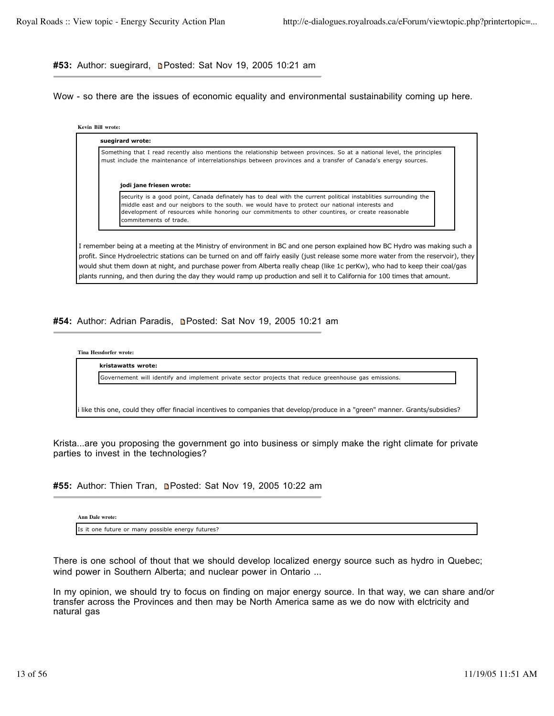#53: Author: suegirard, **n**Posted: Sat Nov 19, 2005 10:21 am

Wow - so there are the issues of economic equality and environmental sustainability coming up here.

**Kevin Bill wrote:**

| jodi jane friesen wrote:                                                                                                                                                                                                                                                                                                                        |
|-------------------------------------------------------------------------------------------------------------------------------------------------------------------------------------------------------------------------------------------------------------------------------------------------------------------------------------------------|
| security is a good point, Canada definately has to deal with the current political instablities surrounding the<br>middle east and our neigbors to the south. we would have to protect our national interests and<br>development of resources while honoring our commitments to other countires, or create reasonable<br>commitements of trade. |

plants running, and then during the day they would ramp up production and sell it to California for 100 times that amount.

#54: Author: Adrian Paradis, **Deparation Sat Nov 19, 2005 10:21 am** 



Krista...are you proposing the government go into business or simply make the right climate for private parties to invest in the technologies?

#55: Author: Thien Tran, **n**Posted: Sat Nov 19, 2005 10:22 am

**Ann Dale wrote:**

Is it one future or many possible energy futures?

There is one school of thout that we should develop localized energy source such as hydro in Quebec; wind power in Southern Alberta; and nuclear power in Ontario ...

In my opinion, we should try to focus on finding on major energy source. In that way, we can share and/or transfer across the Provinces and then may be North America same as we do now with elctricity and natural gas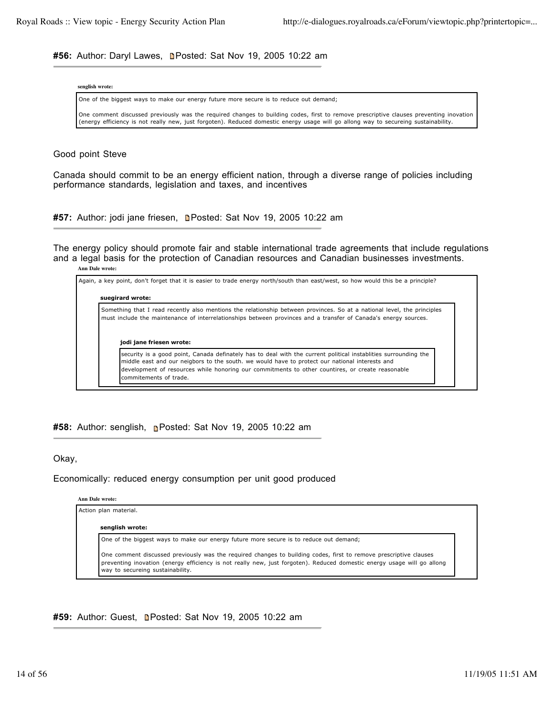#56: Author: Daryl Lawes, **n**Posted: Sat Nov 19, 2005 10:22 am

| senglish wrote: |  |
|-----------------|--|
|-----------------|--|

One of the biggest ways to make our energy future more secure is to reduce out demand;

One comment discussed previously was the required changes to building codes, first to remove prescriptive clauses preventing inovation (energy efficiency is not really new, just forgoten). Reduced domestic energy usage will go allong way to secureing sustainability.

Good point Steve

Canada should commit to be an energy efficient nation, through a diverse range of policies including performance standards, legislation and taxes, and incentives

#57: Author: jodi jane friesen, **n**Posted: Sat Nov 19, 2005 10:22 am

The energy policy should promote fair and stable international trade agreements that include regulations and a legal basis for the protection of Canadian resources and Canadian businesses investments.

**Ann Dale wrote:**



**#58:** Author: senglish, Posted: Sat Nov 19, 2005 10:22 am

Okay,

Economically: reduced energy consumption per unit good produced

|  | Ann Dale wrote: |
|--|-----------------|
|  |                 |

Action plan material.

**senglish wrote:**

One of the biggest ways to make our energy future more secure is to reduce out demand;

One comment discussed previously was the required changes to building codes, first to remove prescriptive clauses preventing inovation (energy efficiency is not really new, just forgoten). Reduced domestic energy usage will go allong way to secureing sustainability.

### **#59:** Author: Guest, Posted: Sat Nov 19, 2005 10:22 am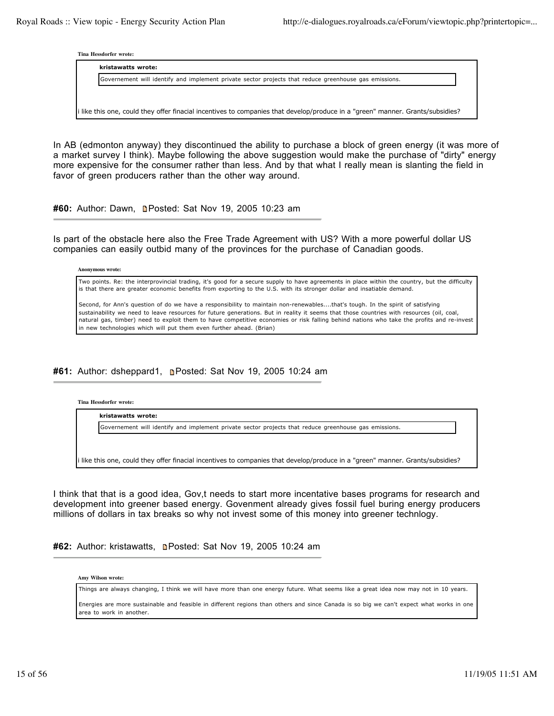**Tina Hessdorfer wrote:**

| kristawatts wrote:                                                                                                             |  |
|--------------------------------------------------------------------------------------------------------------------------------|--|
| Governement will identify and implement private sector projects that reduce greenhouse gas emissions.                          |  |
|                                                                                                                                |  |
|                                                                                                                                |  |
| i like this one, could they offer finacial incentives to companies that develop/produce in a "green" manner. Grants/subsidies? |  |

In AB (edmonton anyway) they discontinued the ability to purchase a block of green energy (it was more of a market survey I think). Maybe following the above suggestion would make the purchase of "dirty" energy more expensive for the consumer rather than less. And by that what I really mean is slanting the field in favor of green producers rather than the other way around.

**#60:** Author: Dawn, Posted: Sat Nov 19, 2005 10:23 am

Is part of the obstacle here also the Free Trade Agreement with US? With a more powerful dollar US companies can easily outbid many of the provinces for the purchase of Canadian goods.

**Anonymous wrote:**

Two points. Re: the interprovincial trading, it's good for a secure supply to have agreements in place within the country, but the difficulty is that there are greater economic benefits from exporting to the U.S. with its stronger dollar and insatiable demand.

Second, for Ann's question of do we have a responsibility to maintain non-renewables....that's tough. In the spirit of satisfying sustainability we need to leave resources for future generations. But in reality it seems that those countries with resources (oil, coal, natural gas, timber) need to exploit them to have competitive economies or risk falling behind nations who take the profits and re-invest in new technologies which will put them even further ahead. (Brian)

# **#61:** Author: dsheppard1, Posted: Sat Nov 19, 2005 10:24 am

**Tina Hessdorfer wrote:**

**kristawatts wrote:**

Governement will identify and implement private sector projects that reduce greenhouse gas emissions.

i like this one, could they offer finacial incentives to companies that develop/produce in a "green" manner. Grants/subsidies?

I think that that is a good idea, Gov,t needs to start more incentative bases programs for research and development into greener based energy. Govenment already gives fossil fuel buring energy producers millions of dollars in tax breaks so why not invest some of this money into greener technlogy.

#62: Author: kristawatts, **n**Posted: Sat Nov 19, 2005 10:24 am

**Amy Wilson wrote:**

Things are always changing, I think we will have more than one energy future. What seems like a great idea now may not in 10 years.

Energies are more sustainable and feasible in different regions than others and since Canada is so big we can't expect what works in one area to work in another.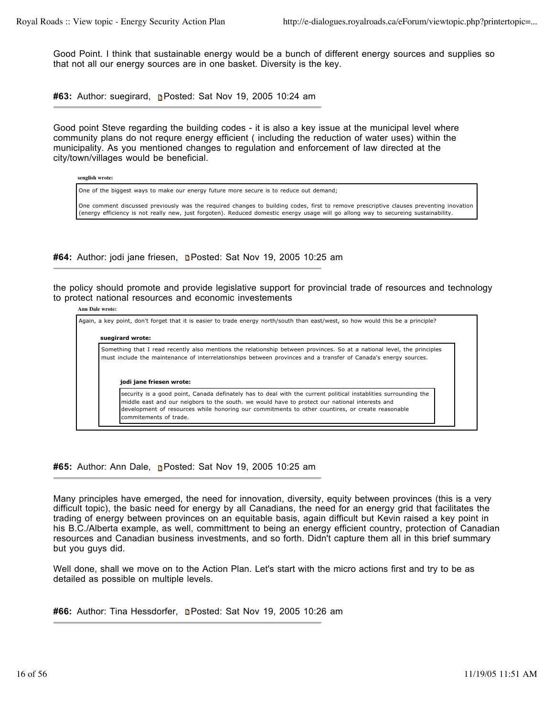Good Point. I think that sustainable energy would be a bunch of different energy sources and supplies so that not all our energy sources are in one basket. Diversity is the key.

**#63:** Author: suegirard, **p**Posted: Sat Nov 19, 2005 10:24 am

Good point Steve regarding the building codes - it is also a key issue at the municipal level where community plans do not requre energy efficient ( including the reduction of water uses) within the municipality. As you mentioned changes to regulation and enforcement of law directed at the city/town/villages would be beneficial.

**senglish wrote:**

One of the biggest ways to make our energy future more secure is to reduce out demand;

One comment discussed previously was the required changes to building codes, first to remove prescriptive clauses preventing inovation (energy efficiency is not really new, just forgoten). Reduced domestic energy usage will go allong way to secureing sustainability.

#64: Author: jodi jane friesen, **n**Posted: Sat Nov 19, 2005 10:25 am

the policy should promote and provide legislative support for provincial trade of resources and technology to protect national resources and economic investements

#### **Ann Dale wrote:**

Again, a key point, don't forget that it is easier to trade energy north/south than east/west, so how would this be a principle? **suegirard wrote:** Something that I read recently also mentions the relationship between provinces. So at a national level, the principles must include the maintenance of interrelationships between provinces and a transfer of Canada's energy sources. **jodi jane friesen wrote:** security is a good point, Canada definately has to deal with the current political instablities surrounding the middle east and our neigbors to the south. we would have to protect our national interests and development of resources while honoring our commitments to other countires, or create reasonable commitements of trade.

**#65:** Author: Ann Dale, Posted: Sat Nov 19, 2005 10:25 am

Many principles have emerged, the need for innovation, diversity, equity between provinces (this is a very difficult topic), the basic need for energy by all Canadians, the need for an energy grid that facilitates the trading of energy between provinces on an equitable basis, again difficult but Kevin raised a key point in his B.C./Alberta example, as well, committment to being an energy efficient country, protection of Canadian resources and Canadian business investments, and so forth. Didn't capture them all in this brief summary but you guys did.

Well done, shall we move on to the Action Plan. Let's start with the micro actions first and try to be as detailed as possible on multiple levels.

#66: Author: Tina Hessdorfer, **n**Posted: Sat Nov 19, 2005 10:26 am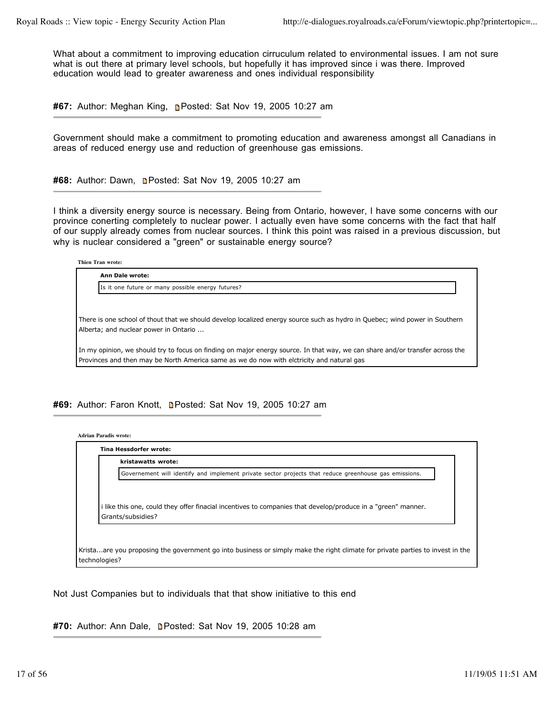What about a commitment to improving education cirruculum related to environmental issues. I am not sure what is out there at primary level schools, but hopefully it has improved since i was there. Improved education would lead to greater awareness and ones individual responsibility

**#67:** Author: Meghan King, Posted: Sat Nov 19, 2005 10:27 am

Government should make a commitment to promoting education and awareness amongst all Canadians in areas of reduced energy use and reduction of greenhouse gas emissions.

#68: Author: Dawn, **Denated: Sat Nov 19, 2005 10:27 am** 

I think a diversity energy source is necessary. Being from Ontario, however, I have some concerns with our province conerting completely to nuclear power. I actually even have some concerns with the fact that half of our supply already comes from nuclear sources. I think this point was raised in a previous discussion, but why is nuclear considered a "green" or sustainable energy source?

| <b>Thien Tran wrote:</b>                                                                                                                                                                                                   |
|----------------------------------------------------------------------------------------------------------------------------------------------------------------------------------------------------------------------------|
| <b>Ann Dale wrote:</b>                                                                                                                                                                                                     |
| Is it one future or many possible energy futures?                                                                                                                                                                          |
| There is one school of thout that we should develop localized energy source such as hydro in Quebec; wind power in Southern<br>Alberta; and nuclear power in Ontario                                                       |
| In my opinion, we should try to focus on finding on major energy source. In that way, we can share and/or transfer across the<br>Provinces and then may be North America same as we do now with elctricity and natural gas |

#69: Author: Faron Knott, **n**Posted: Sat Nov 19, 2005 10:27 am

**Adrian Paradis wrote:**

| kristawatts wrote:                                                                                                            |
|-------------------------------------------------------------------------------------------------------------------------------|
| Governement will identify and implement private sector projects that reduce greenhouse gas emissions.                         |
|                                                                                                                               |
| I like this one, could they offer finacial incentives to companies that develop/produce in a "green" manner.                  |
| Grants/subsidies?                                                                                                             |
| Kristaare you proposing the government go into business or simply make the right climate for private parties to invest in the |

Not Just Companies but to individuals that that show initiative to this end

**#70:** Author: Ann Dale, Posted: Sat Nov 19, 2005 10:28 am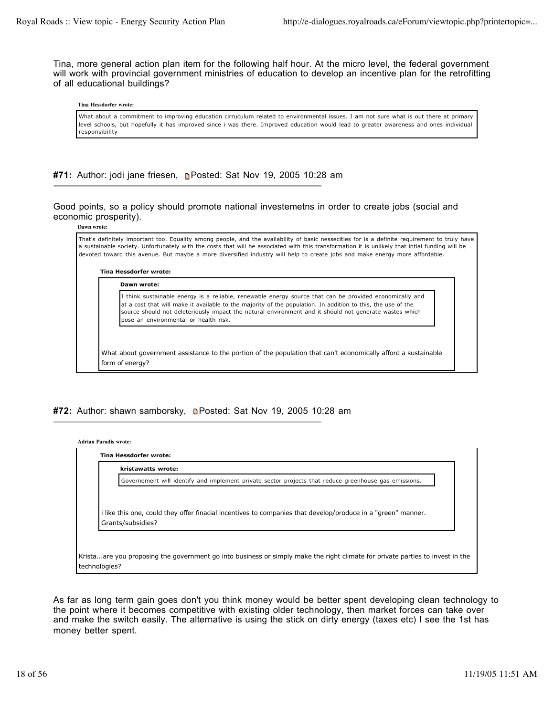Tina, more general action plan item for the following half hour. At the micro level, the federal government will work with provincial government ministries of education to develop an incentive plan for the retrofitting of all educational buildings?

#### **Tina Hessdorfer wrote:**

What about a commitment to improving education cirruculum related to environmental issues. I am not sure what is out there at primary level schools, but hopefully it has improved since i was there. Improved education would lead to greater awareness and ones individual responsibility

# **#71:** Author: jodi jane friesen, **n**Posted: Sat Nov 19, 2005 10:28 am

Good points, so a policy should promote national investemetns in order to create jobs (social and economic prosperity).

**Dawn wrote:**

That's definitely important too. Equality among people, and the availability of basic nessecities for is a definite requirement to truly have a sustainable society. Unfortunately with the costs that will be associated with this transformation it is unlikely that intial funding will be devoted toward this avenue. But maybe a more diversified industry will help to create jobs and make energy more affordable.

**Tina Hessdorfer wrote: Dawn wrote:**

> I think sustainable energy is a reliable, renewable energy source that can be provided economically and at a cost that will make it available to the majority of the population. In addition to this, the use of the source should not deleteriously impact the natural environment and it should not generate wastes which pose an environmental or health risk.

What about government assistance to the portion of the population that can't economically afford a sustainable form of energy?

## #72: Author: shawn samborsky, **n**Posted: Sat Nov 19, 2005 10:28 am

| kristawatts wrote:                                                                                                              |
|---------------------------------------------------------------------------------------------------------------------------------|
| Governement will identify and implement private sector projects that reduce greenhouse gas emissions.                           |
|                                                                                                                                 |
| like this one, could they offer finacial incentives to companies that develop/produce in a "green" manner.<br>Grants/subsidies? |

As far as long term gain goes don't you think money would be better spent developing clean technology to the point where it becomes competitive with existing older technology, then market forces can take over and make the switch easily. The alternative is using the stick on dirty energy (taxes etc) I see the 1st has money better spent.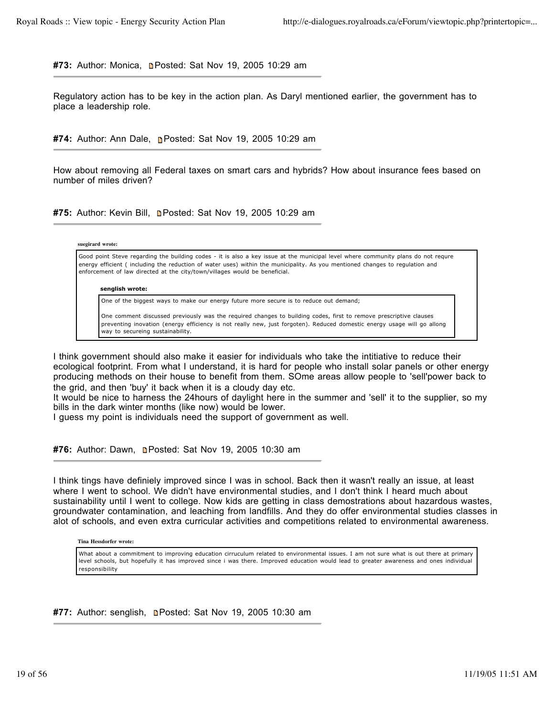#73: Author: Monica, **Denated: Sat Nov 19, 2005 10:29 am** 

Regulatory action has to be key in the action plan. As Daryl mentioned earlier, the government has to place a leadership role.

**#74:** Author: Ann Dale, Posted: Sat Nov 19, 2005 10:29 am

How about removing all Federal taxes on smart cars and hybrids? How about insurance fees based on number of miles driven?

**#75:** Author: Kevin Bill, Posted: Sat Nov 19, 2005 10:29 am

### **suegirard wrote:**

Good point Steve regarding the building codes - it is also a key issue at the municipal level where community plans do not requre energy efficient ( including the reduction of water uses) within the municipality. As you mentioned changes to regulation and enforcement of law directed at the city/town/villages would be beneficial.

#### **senglish wrote:**

One of the biggest ways to make our energy future more secure is to reduce out demand;

One comment discussed previously was the required changes to building codes, first to remove prescriptive clauses preventing inovation (energy efficiency is not really new, just forgoten). Reduced domestic energy usage will go allong way to secureing sustainability.

I think government should also make it easier for individuals who take the intitiative to reduce their ecological footprint. From what I understand, it is hard for people who install solar panels or other energy producing methods on their house to benefit from them. SOme areas allow people to 'sell'power back to the grid, and then 'buy' it back when it is a cloudy day etc.

It would be nice to harness the 24hours of daylight here in the summer and 'sell' it to the supplier, so my bills in the dark winter months (like now) would be lower.

I guess my point is individuals need the support of government as well.

**#76:** Author: Dawn, **Den** Posted: Sat Nov 19, 2005 10:30 am

I think tings have definiely improved since I was in school. Back then it wasn't really an issue, at least where I went to school. We didn't have environmental studies, and I don't think I heard much about sustainability until I went to college. Now kids are getting in class demostrations about hazardous wastes, groundwater contamination, and leaching from landfills. And they do offer environmental studies classes in alot of schools, and even extra curricular activities and competitions related to environmental awareness.

**Tina Hessdorfer wrote:**

What about a commitment to improving education cirruculum related to environmental issues. I am not sure what is out there at primary level schools, but hopefully it has improved since i was there. Improved education would lead to greater awareness and ones individual responsibility

**#77:** Author: senglish, Posted: Sat Nov 19, 2005 10:30 am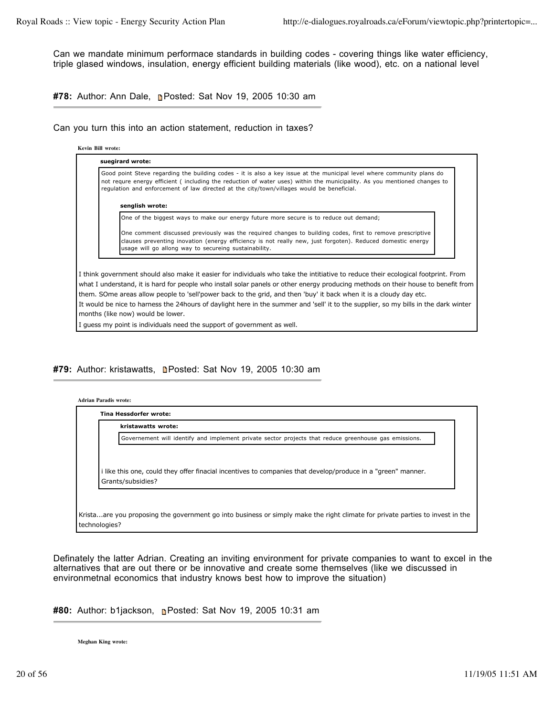Can we mandate minimum performace standards in building codes - covering things like water efficiency, triple glased windows, insulation, energy efficient building materials (like wood), etc. on a national level

**#78:** Author: Ann Dale, Posted: Sat Nov 19, 2005 10:30 am

Can you turn this into an action statement, reduction in taxes?

**Kevin Bill wrote:**

**suegirard wrote:** Good point Steve regarding the building codes - it is also a key issue at the municipal level where community plans do not requre energy efficient ( including the reduction of water uses) within the municipality. As you mentioned changes to regulation and enforcement of law directed at the city/town/villages would be beneficial. **senglish wrote:** One of the biggest ways to make our energy future more secure is to reduce out demand; One comment discussed previously was the required changes to building codes, first to remove prescriptive clauses preventing inovation (energy efficiency is not really new, just forgoten). Reduced domestic energy usage will go allong way to secureing sustainability.

I think government should also make it easier for individuals who take the intitiative to reduce their ecological footprint. From what I understand, it is hard for people who install solar panels or other energy producing methods on their house to benefit from them. SOme areas allow people to 'sell'power back to the grid, and then 'buy' it back when it is a cloudy day etc. It would be nice to harness the 24hours of daylight here in the summer and 'sell' it to the supplier, so my bills in the dark winter months (like now) would be lower.

I guess my point is individuals need the support of government as well.

#79: Author: kristawatts, **n**Posted: Sat Nov 19, 2005 10:30 am

| Governement will identify and implement private sector projects that reduce greenhouse gas emissions.<br>i like this one, could they offer finacial incentives to companies that develop/produce in a "green" manner. | kristawatts wrote: |
|-----------------------------------------------------------------------------------------------------------------------------------------------------------------------------------------------------------------------|--------------------|
|                                                                                                                                                                                                                       |                    |
| Grants/subsidies?                                                                                                                                                                                                     |                    |

Definately the latter Adrian. Creating an inviting environment for private companies to want to excel in the alternatives that are out there or be innovative and create some themselves (like we discussed in environmetnal economics that industry knows best how to improve the situation)

**#80:** Author: b1jackson, Posted: Sat Nov 19, 2005 10:31 am

**Meghan King wrote:**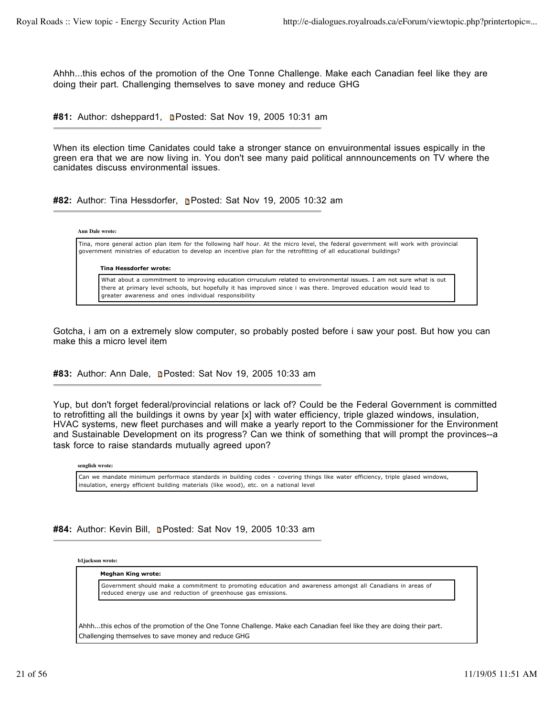Ahhh...this echos of the promotion of the One Tonne Challenge. Make each Canadian feel like they are doing their part. Challenging themselves to save money and reduce GHG

#81: Author: dsheppard1, **Denated: Sat Nov 19, 2005 10:31 am** 

When its election time Canidates could take a stronger stance on envuironmental issues espically in the green era that we are now living in. You don't see many paid political annnouncements on TV where the canidates discuss environmental issues.

**#82:** Author: Tina Hessdorfer, **Posted: Sat Nov 19, 2005 10:32 am** 

| Ann Dale wrote: |                                                                                                                                                                                                                                                             |
|-----------------|-------------------------------------------------------------------------------------------------------------------------------------------------------------------------------------------------------------------------------------------------------------|
|                 | Tina, more general action plan item for the following half hour. At the micro level, the federal government will work with provincial<br>government ministries of education to develop an incentive plan for the retrofitting of all educational buildings? |
|                 |                                                                                                                                                                                                                                                             |
|                 |                                                                                                                                                                                                                                                             |
|                 | Tina Hessdorfer wrote:<br>What about a commitment to improving education cirruculum related to environmental issues. I am not sure what is out                                                                                                              |

Gotcha, i am on a extremely slow computer, so probably posted before i saw your post. But how you can make this a micro level item

#83: Author: Ann Dale, **n**Posted: Sat Nov 19, 2005 10:33 am

Yup, but don't forget federal/provincial relations or lack of? Could be the Federal Government is committed to retrofitting all the buildings it owns by year [x] with water efficiency, triple glazed windows, insulation, HVAC systems, new fleet purchases and will make a yearly report to the Commissioner for the Environment and Sustainable Development on its progress? Can we think of something that will prompt the provinces--a task force to raise standards mutually agreed upon?

**senglish wrote:**

Can we mandate minimum performace standards in building codes - covering things like water efficiency, triple glased windows, insulation, energy efficient building materials (like wood), etc. on a national level

**#84:** Author: Kevin Bill, Posted: Sat Nov 19, 2005 10:33 am

**b1jackson wrote:**

#### **Meghan King wrote:**

Government should make a commitment to promoting education and awareness amongst all Canadians in areas of reduced energy use and reduction of greenhouse gas emissions.

Ahhh...this echos of the promotion of the One Tonne Challenge. Make each Canadian feel like they are doing their part. Challenging themselves to save money and reduce GHG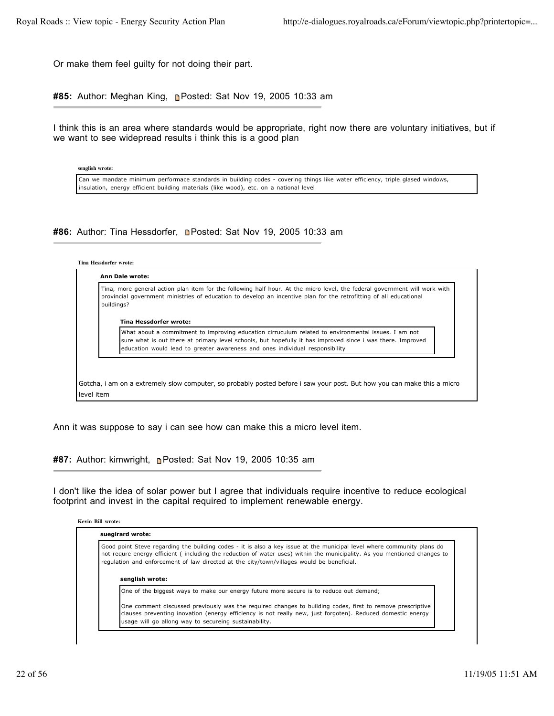Or make them feel guilty for not doing their part.

**#85:** Author: Meghan King, Posted: Sat Nov 19, 2005 10:33 am

I think this is an area where standards would be appropriate, right now there are voluntary initiatives, but if we want to see widepread results i think this is a good plan

**senglish wrote:**

Can we mandate minimum performace standards in building codes - covering things like water efficiency, triple glased windows, insulation, energy efficient building materials (like wood), etc. on a national level

## **#86:** Author: Tina Hessdorfer, **n**Posted: Sat Nov 19, 2005 10:33 am

### **Tina Hessdorfer wrote:**

| Tina, more general action plan item for the following half hour. At the micro level, the federal government will work with<br>provincial government ministries of education to develop an incentive plan for the retrofitting of all educational<br>buildings?                                    |
|---------------------------------------------------------------------------------------------------------------------------------------------------------------------------------------------------------------------------------------------------------------------------------------------------|
| Tina Hessdorfer wrote:                                                                                                                                                                                                                                                                            |
| What about a commitment to improving education cirruculum related to environmental issues. I am not<br>sure what is out there at primary level schools, but hopefully it has improved since i was there. Improved<br>education would lead to greater awareness and ones individual responsibility |
|                                                                                                                                                                                                                                                                                                   |
|                                                                                                                                                                                                                                                                                                   |

Ann it was suppose to say i can see how can make this a micro level item.

**#87:** Author: kimwright, Posted: Sat Nov 19, 2005 10:35 am

I don't like the idea of solar power but I agree that individuals require incentive to reduce ecological footprint and invest in the capital required to implement renewable energy.

|  | <b>Kevin Bill wrote:</b> |  |
|--|--------------------------|--|
|  |                          |  |

**suegirard wrote:**

Good point Steve regarding the building codes - it is also a key issue at the municipal level where community plans do not requre energy efficient ( including the reduction of water uses) within the municipality. As you mentioned changes to regulation and enforcement of law directed at the city/town/villages would be beneficial.

**senglish wrote:**

One of the biggest ways to make our energy future more secure is to reduce out demand;

One comment discussed previously was the required changes to building codes, first to remove prescriptive clauses preventing inovation (energy efficiency is not really new, just forgoten). Reduced domestic energy usage will go allong way to secureing sustainability.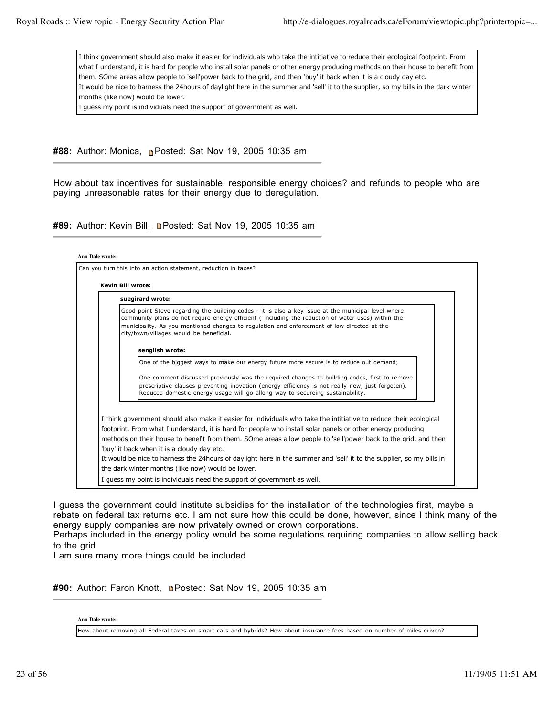I think government should also make it easier for individuals who take the intitiative to reduce their ecological footprint. From what I understand, it is hard for people who install solar panels or other energy producing methods on their house to benefit from them. SOme areas allow people to 'sell'power back to the grid, and then 'buy' it back when it is a cloudy day etc. It would be nice to harness the 24hours of daylight here in the summer and 'sell' it to the supplier, so my bills in the dark winter months (like now) would be lower.

I guess my point is individuals need the support of government as well.

**#88:** Author: Monica, **Posted: Sat Nov 19, 2005 10:35 am** 

How about tax incentives for sustainable, responsible energy choices? and refunds to people who are paying unreasonable rates for their energy due to deregulation.

#89: Author: Kevin Bill, **n**Posted: Sat Nov 19, 2005 10:35 am

| suegirard wrote:<br>Good point Steve regarding the building codes - it is also a key issue at the municipal level where<br>community plans do not requre energy efficient (including the reduction of water uses) within the<br>municipality. As you mentioned changes to regulation and enforcement of law directed at the<br>city/town/villages would be beneficial.<br>senglish wrote:<br>One of the biggest ways to make our energy future more secure is to reduce out demand; |  |
|-------------------------------------------------------------------------------------------------------------------------------------------------------------------------------------------------------------------------------------------------------------------------------------------------------------------------------------------------------------------------------------------------------------------------------------------------------------------------------------|--|
|                                                                                                                                                                                                                                                                                                                                                                                                                                                                                     |  |
|                                                                                                                                                                                                                                                                                                                                                                                                                                                                                     |  |
|                                                                                                                                                                                                                                                                                                                                                                                                                                                                                     |  |
| One comment discussed previously was the required changes to building codes, first to remove                                                                                                                                                                                                                                                                                                                                                                                        |  |
| prescriptive clauses preventing inovation (energy efficiency is not really new, just forgoten).<br>Reduced domestic energy usage will go allong way to secureing sustainability.                                                                                                                                                                                                                                                                                                    |  |
| I think government should also make it easier for individuals who take the intitiative to reduce their ecological                                                                                                                                                                                                                                                                                                                                                                   |  |
| footprint. From what I understand, it is hard for people who install solar panels or other energy producing                                                                                                                                                                                                                                                                                                                                                                         |  |
| methods on their house to benefit from them. SOme areas allow people to 'sell'power back to the grid, and then                                                                                                                                                                                                                                                                                                                                                                      |  |
| 'buy' it back when it is a cloudy day etc.                                                                                                                                                                                                                                                                                                                                                                                                                                          |  |

I guess the government could institute subsidies for the installation of the technologies first, maybe a rebate on federal tax returns etc. I am not sure how this could be done, however, since I think many of the energy supply companies are now privately owned or crown corporations.

Perhaps included in the energy policy would be some regulations requiring companies to allow selling back to the grid.

I am sure many more things could be included.

#90: Author: Faron Knott, **n**Posted: Sat Nov 19, 2005 10:35 am

### **Ann Dale wrote:**

How about removing all Federal taxes on smart cars and hybrids? How about insurance fees based on number of miles driven?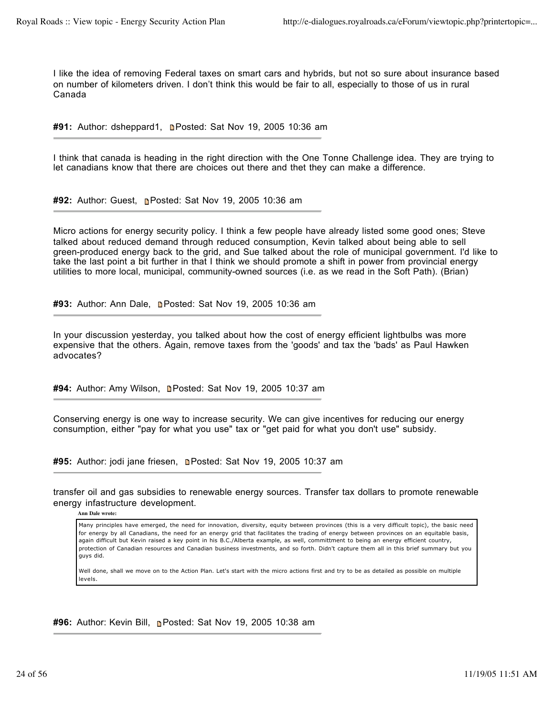I like the idea of removing Federal taxes on smart cars and hybrids, but not so sure about insurance based on number of kilometers driven. I don't think this would be fair to all, especially to those of us in rural Canada

#91: Author: dsheppard1, **n**Posted: Sat Nov 19, 2005 10:36 am

I think that canada is heading in the right direction with the One Tonne Challenge idea. They are trying to let canadians know that there are choices out there and thet they can make a difference.

**#92:** Author: Guest, Posted: Sat Nov 19, 2005 10:36 am

Micro actions for energy security policy. I think a few people have already listed some good ones; Steve talked about reduced demand through reduced consumption, Kevin talked about being able to sell green-produced energy back to the grid, and Sue talked about the role of municipal government. I'd like to take the last point a bit further in that I think we should promote a shift in power from provincial energy utilities to more local, municipal, community-owned sources (i.e. as we read in the Soft Path). (Brian)

#93: Author: Ann Dale, **Denated: Sat Nov 19, 2005 10:36 am** 

In your discussion yesterday, you talked about how the cost of energy efficient lightbulbs was more expensive that the others. Again, remove taxes from the 'goods' and tax the 'bads' as Paul Hawken advocates?

#94: Author: Amy Wilson, **n**Posted: Sat Nov 19, 2005 10:37 am

Conserving energy is one way to increase security. We can give incentives for reducing our energy consumption, either "pay for what you use" tax or "get paid for what you don't use" subsidy.

#95: Author: jodi jane friesen, **n**Posted: Sat Nov 19, 2005 10:37 am

transfer oil and gas subsidies to renewable energy sources. Transfer tax dollars to promote renewable energy infastructure development.

**Ann Dale wrote:**

Many principles have emerged, the need for innovation, diversity, equity between provinces (this is a very difficult topic), the basic need for energy by all Canadians, the need for an energy grid that facilitates the trading of energy between provinces on an equitable basis, again difficult but Kevin raised a key point in his B.C./Alberta example, as well, committment to being an energy efficient country, protection of Canadian resources and Canadian business investments, and so forth. Didn't capture them all in this brief summary but you guys did.

Well done, shall we move on to the Action Plan. Let's start with the micro actions first and try to be as detailed as possible on multiple levels.

**#96:** Author: Kevin Bill, Posted: Sat Nov 19, 2005 10:38 am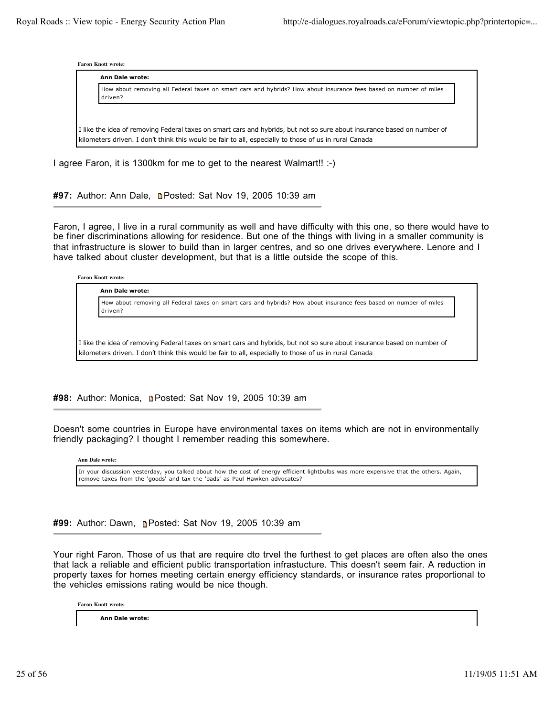| <b>Faron Knott wrote:</b> |  |
|---------------------------|--|
|---------------------------|--|

| Ann Dale wrote:                                                                                                              |
|------------------------------------------------------------------------------------------------------------------------------|
| How about removing all Federal taxes on smart cars and hybrids? How about insurance fees based on number of miles<br>driven? |
|                                                                                                                              |
| I like the idea of removing Federal taxes on smart cars and hybrids, but not so sure about insurance based on number of      |
| kilometers driven. I don't think this would be fair to all, especially to those of us in rural Canada                        |

I agree Faron, it is 1300km for me to get to the nearest Walmart!! :-)

## #97: Author: Ann Dale, **n**Posted: Sat Nov 19, 2005 10:39 am

Faron, I agree, I live in a rural community as well and have difficulty with this one, so there would have to be finer discriminations allowing for residence. But one of the things with living in a smaller community is that infrastructure is slower to build than in larger centres, and so one drives everywhere. Lenore and I have talked about cluster development, but that is a little outside the scope of this.

**Faron Knott wrote:**

**Ann Dale wrote:**

How about removing all Federal taxes on smart cars and hybrids? How about insurance fees based on number of miles driven?

I like the idea of removing Federal taxes on smart cars and hybrids, but not so sure about insurance based on number of kilometers driven. I don't think this would be fair to all, especially to those of us in rural Canada

#98: Author: Monica, **Denated: Sat Nov 19, 2005 10:39 am** 

Doesn't some countries in Europe have environmental taxes on items which are not in environmentally friendly packaging? I thought I remember reading this somewhere.

**Ann Dale wrote:**

In your discussion yesterday, you talked about how the cost of energy efficient lightbulbs was more expensive that the others. Again, remove taxes from the 'goods' and tax the 'bads' as Paul Hawken advocates?

**#99:** Author: Dawn, **n**Posted: Sat Nov 19, 2005 10:39 am

Your right Faron. Those of us that are require dto trvel the furthest to get places are often also the ones that lack a reliable and efficient public transportation infrastucture. This doesn't seem fair. A reduction in property taxes for homes meeting certain energy efficiency standards, or insurance rates proportional to the vehicles emissions rating would be nice though.

**Faron Knott wrote:**

**Ann Dale wrote:**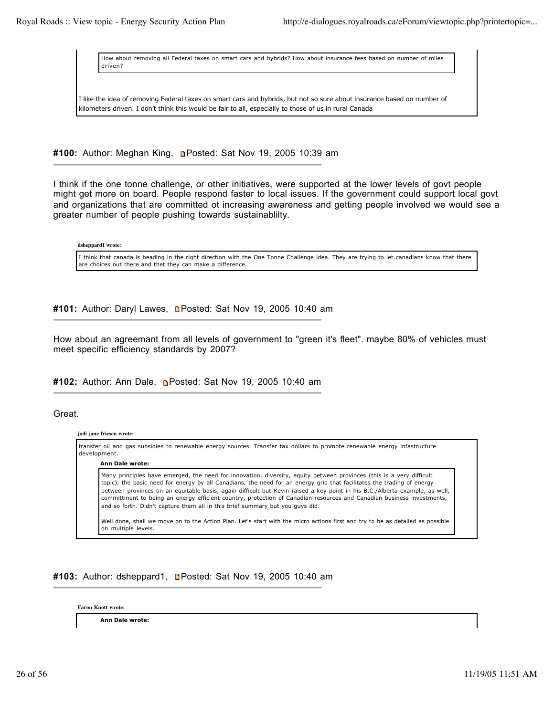How about removing all Federal taxes on smart cars and hybrids? How about insurance fees based on number of miles driven?

I like the idea of removing Federal taxes on smart cars and hybrids, but not so sure about insurance based on number of kilometers driven. I don't think this would be fair to all, especially to those of us in rural Canada

**#100:** Author: Meghan King, Posted: Sat Nov 19, 2005 10:39 am

I think if the one tonne challenge, or other initiatives, were supported at the lower levels of govt people might get more on board. People respond faster to local issues. If the government could support local govt and organizations that are committed ot increasing awareness and getting people involved we would see a greater number of people pushing towards sustainablilty.

**dsheppard1 wrote:**

I think that canada is heading in the right direction with the One Tonne Challenge idea. They are trying to let canadians know that there are choices out there and thet they can make a difference.

#101: Author: Daryl Lawes, **Depart Coat Nov 19, 2005 10:40 am** 

How about an agreemant from all levels of government to "green it's fleet". maybe 80% of vehicles must meet specific efficiency standards by 2007?

**#102:** Author: Ann Dale, Posted: Sat Nov 19, 2005 10:40 am

Great.

**jodi jane friesen wrote:**

transfer oil and gas subsidies to renewable energy sources. Transfer tax dollars to promote renewable energy infastructure development. **Ann Dale wrote:** Many principles have emerged, the need for innovation, diversity, equity between provinces (this is a very difficult topic), the basic need for energy by all Canadians, the need for an energy grid that facilitates the trading of energy between provinces on an equitable basis, again difficult but Kevin raised a key point in his B.C./Alberta example, as well, committment to being an energy efficient country, protection of Canadian resources and Canadian business investments, and so forth. Didn't capture them all in this brief summary but you guys did. Well done, shall we move on to the Action Plan. Let's start with the micro actions first and try to be as detailed as possible on multiple levels.

**#103:** Author: dsheppard1, Posted: Sat Nov 19, 2005 10:40 am

**Faron Knott wrote:**

**Ann Dale wrote:**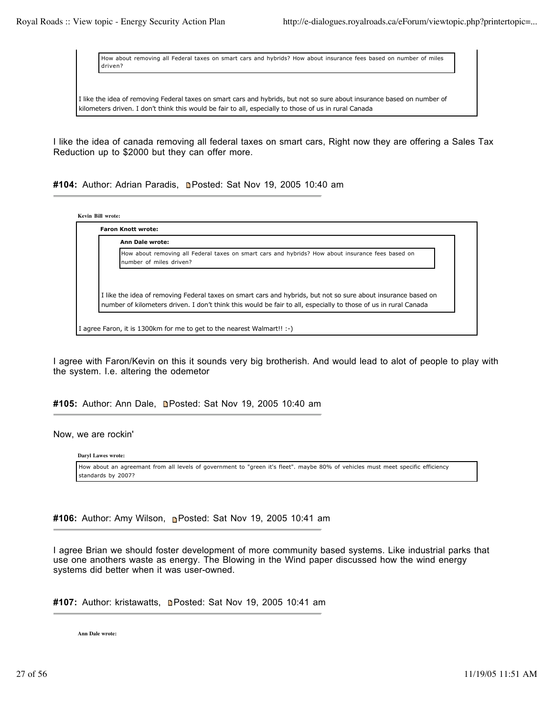How about removing all Federal taxes on smart cars and hybrids? How about insurance fees based on number of miles driven?

I like the idea of removing Federal taxes on smart cars and hybrids, but not so sure about insurance based on number of kilometers driven. I don't think this would be fair to all, especially to those of us in rural Canada

I like the idea of canada removing all federal taxes on smart cars, Right now they are offering a Sales Tax Reduction up to \$2000 but they can offer more.

#104: Author: Adrian Paradis, **n**Posted: Sat Nov 19, 2005 10:40 am

**Kevin Bill wrote:**

| <b>Ann Dale wrote:</b>                                                                                                       |
|------------------------------------------------------------------------------------------------------------------------------|
| How about removing all Federal taxes on smart cars and hybrids? How about insurance fees based on<br>number of miles driven? |
|                                                                                                                              |
| I I like the idea of removing Federal taxes on smart cars and hybrids, but not so sure about insurance based on              |
| number of kilometers driven. I don't think this would be fair to all, especially to those of us in rural Canada              |

I agree with Faron/Kevin on this it sounds very big brotherish. And would lead to alot of people to play with the system. I.e. altering the odemetor

# #105: Author: Ann Dale, **n**Posted: Sat Nov 19, 2005 10:40 am

### Now, we are rockin'

**Daryl Lawes wrote:**

How about an agreemant from all levels of government to "green it's fleet". maybe 80% of vehicles must meet specific efficiency standards by 2007?

**#106:** Author: Amy Wilson, Posted: Sat Nov 19, 2005 10:41 am

I agree Brian we should foster development of more community based systems. Like industrial parks that use one anothers waste as energy. The Blowing in the Wind paper discussed how the wind energy systems did better when it was user-owned.

#107: Author: kristawatts, **n**Posted: Sat Nov 19, 2005 10:41 am

**Ann Dale wrote:**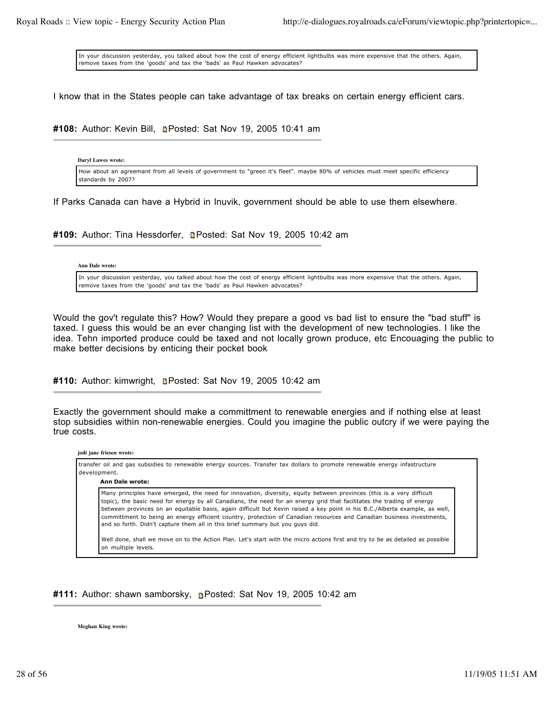In your discussion yesterday, you talked about how the cost of energy efficient lightbulbs was more expensive that the others. Again, remove taxes from the 'goods' and tax the 'bads' as Paul Hawken advocates?

I know that in the States people can take advantage of tax breaks on certain energy efficient cars.

**#108:** Author: Kevin Bill, Posted: Sat Nov 19, 2005 10:41 am

**Daryl Lawes wrote:** How about an agreemant from all levels of government to "green it's fleet". maybe 80% of vehicles must meet specific efficiency standards by 2007?

If Parks Canada can have a Hybrid in Inuvik, government should be able to use them elsewhere.

#109: Author: Tina Hessdorfer, **n**Posted: Sat Nov 19, 2005 10:42 am

### **Ann Dale wrote:**

In your discussion yesterday, you talked about how the cost of energy efficient lightbulbs was more expensive that the others. Again, remove taxes from the 'goods' and tax the 'bads' as Paul Hawken advocates?

Would the gov't regulate this? How? Would they prepare a good vs bad list to ensure the "bad stuff" is taxed. I guess this would be an ever changing list with the development of new technologies. I like the idea. Tehn imported produce could be taxed and not locally grown produce, etc Encouaging the public to make better decisions by enticing their pocket book

#110: Author: kimwright, **n**Posted: Sat Nov 19, 2005 10:42 am

Exactly the government should make a committment to renewable energies and if nothing else at least stop subsidies within non-renewable energies. Could you imagine the public outcry if we were paying the true costs.

#### **jodi jane friesen wrote:**

| Many principles have emerged, the need for innovation, diversity, equity between provinces (this is a very difficult                                                                                   |  |
|--------------------------------------------------------------------------------------------------------------------------------------------------------------------------------------------------------|--|
|                                                                                                                                                                                                        |  |
| topic), the basic need for energy by all Canadians, the need for an energy grid that facilitates the trading of energy                                                                                 |  |
| between provinces on an equitable basis, again difficult but Kevin raised a key point in his B.C./Alberta example, as well,                                                                            |  |
| committment to being an energy efficient country, protection of Canadian resources and Canadian business investments,<br>and so forth. Didn't capture them all in this brief summary but you guys did. |  |

**#111:** Author: shawn samborsky, **P**osted: Sat Nov 19, 2005 10:42 am

**Meghan King wrote:**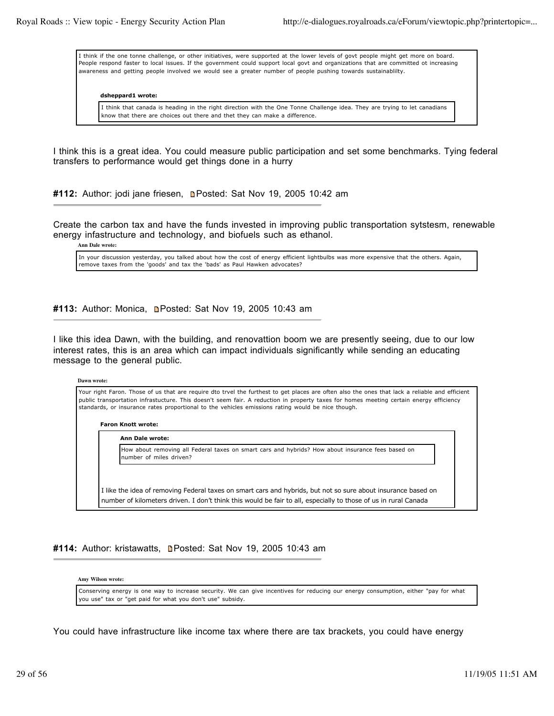I think if the one tonne challenge, or other initiatives, were supported at the lower levels of govt people might get more on board. People respond faster to local issues. If the government could support local govt and organizations that are committed ot increasing awareness and getting people involved we would see a greater number of people pushing towards sustainablilty.

# **dsheppard1 wrote:**

I think that canada is heading in the right direction with the One Tonne Challenge idea. They are trying to let canadians know that there are choices out there and thet they can make a difference.

I think this is a great idea. You could measure public participation and set some benchmarks. Tying federal transfers to performance would get things done in a hurry

#112: Author: jodi jane friesen, **n**Posted: Sat Nov 19, 2005 10:42 am

Create the carbon tax and have the funds invested in improving public transportation sytstesm, renewable energy infastructure and technology, and biofuels such as ethanol.

**Ann Dale wrote:**

In your discussion yesterday, you talked about how the cost of energy efficient lightbulbs was more expensive that the others. Again, remove taxes from the 'goods' and tax the 'bads' as Paul Hawken advocates?

#113: Author: Monica, **n**Posted: Sat Nov 19, 2005 10:43 am

I like this idea Dawn, with the building, and renovattion boom we are presently seeing, due to our low interest rates, this is an area which can impact individuals significantly while sending an educating message to the general public.

#### **Dawn wrote:**

Your right Faron. Those of us that are require dto trvel the furthest to get places are often also the ones that lack a reliable and efficient public transportation infrastucture. This doesn't seem fair. A reduction in property taxes for homes meeting certain energy efficiency standards, or insurance rates proportional to the vehicles emissions rating would be nice though.

### **Faron Knott wrote:**

### **Ann Dale wrote:**

How about removing all Federal taxes on smart cars and hybrids? How about insurance fees based on number of miles driven?

I like the idea of removing Federal taxes on smart cars and hybrids, but not so sure about insurance based on number of kilometers driven. I don't think this would be fair to all, especially to those of us in rural Canada

**#114:** Author: kristawatts, **Denated: Sat Nov 19, 2005 10:43 am** 

#### **Amy Wilson wrote:**

Conserving energy is one way to increase security. We can give incentives for reducing our energy consumption, either "pay for what you use" tax or "get paid for what you don't use" subsidy.

You could have infrastructure like income tax where there are tax brackets, you could have energy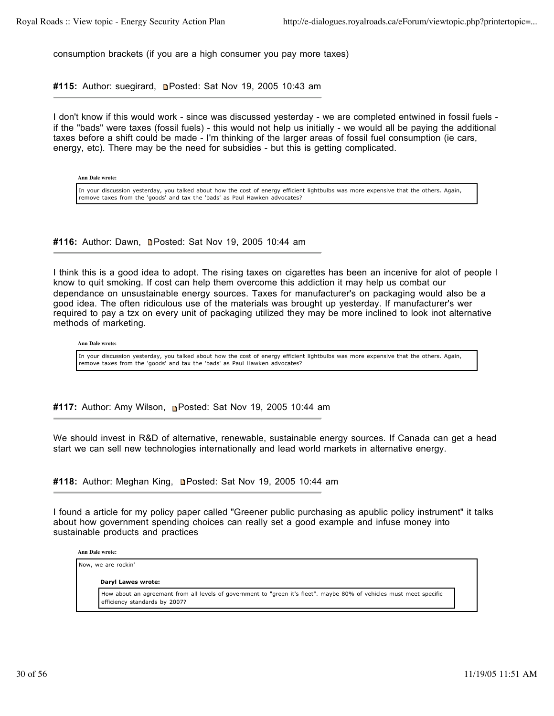consumption brackets (if you are a high consumer you pay more taxes)

#115: Author: suegirard, **n**Posted: Sat Nov 19, 2005 10:43 am

I don't know if this would work - since was discussed yesterday - we are completed entwined in fossil fuels if the "bads" were taxes (fossil fuels) - this would not help us initially - we would all be paying the additional taxes before a shift could be made - I'm thinking of the larger areas of fossil fuel consumption (ie cars, energy, etc). There may be the need for subsidies - but this is getting complicated.

**Ann Dale wrote:**

In your discussion yesterday, you talked about how the cost of energy efficient lightbulbs was more expensive that the others. Again, remove taxes from the 'goods' and tax the 'bads' as Paul Hawken advocates?

**#116:** Author: Dawn, **Denated: Sat Nov 19, 2005 10:44 am** 

I think this is a good idea to adopt. The rising taxes on cigarettes has been an incenive for alot of people I know to quit smoking. If cost can help them overcome this addiction it may help us combat our dependance on unsustainable energy sources. Taxes for manufacturer's on packaging would also be a good idea. The often ridiculous use of the materials was brought up yesterday. If manufacturer's wer required to pay a tzx on every unit of packaging utilized they may be more inclined to look inot alternative methods of marketing.

**Ann Dale wrote:**

In your discussion yesterday, you talked about how the cost of energy efficient lightbulbs was more expensive that the others. Again, remove taxes from the 'goods' and tax the 'bads' as Paul Hawken advocates?

**#117:** Author: Amy Wilson, Posted: Sat Nov 19, 2005 10:44 am

We should invest in R&D of alternative, renewable, sustainable energy sources. If Canada can get a head start we can sell new technologies internationally and lead world markets in alternative energy.

**#118:** Author: Meghan King, Posted: Sat Nov 19, 2005 10:44 am

I found a article for my policy paper called "Greener public purchasing as apublic policy instrument" it talks about how government spending choices can really set a good example and infuse money into sustainable products and practices

**Ann Dale wrote:**

Now, we are rockin'

**Daryl Lawes wrote:**

How about an agreemant from all levels of government to "green it's fleet". maybe 80% of vehicles must meet specific efficiency standards by 2007?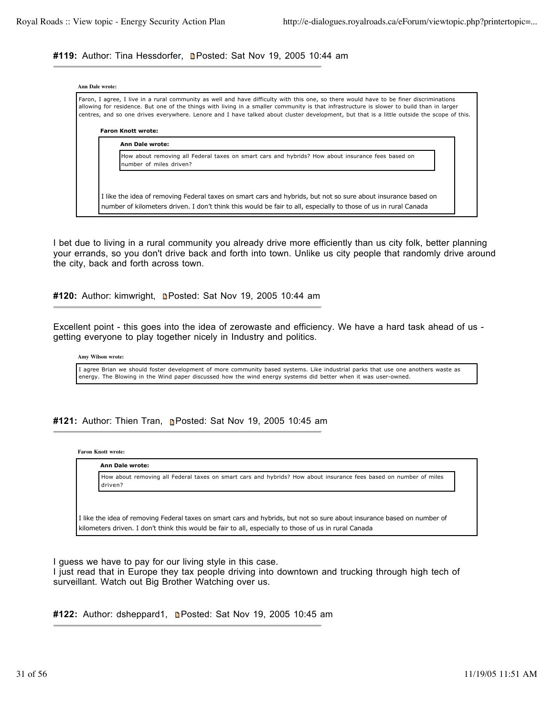# #119: Author: Tina Hessdorfer, **n**Posted: Sat Nov 19, 2005 10:44 am

| <b>Ann Dale wrote:</b><br>Faron, I agree, I live in a rural community as well and have difficulty with this one, so there would have to be finer discriminations<br>allowing for residence. But one of the things with living in a smaller community is that infrastructure is slower to build than in larger<br>centres, and so one drives everywhere. Lenore and I have talked about cluster development, but that is a little outside the scope of this. |  |
|-------------------------------------------------------------------------------------------------------------------------------------------------------------------------------------------------------------------------------------------------------------------------------------------------------------------------------------------------------------------------------------------------------------------------------------------------------------|--|
| <b>Faron Knott wrote:</b><br><b>Ann Dale wrote:</b>                                                                                                                                                                                                                                                                                                                                                                                                         |  |
| How about removing all Federal taxes on smart cars and hybrids? How about insurance fees based on<br>number of miles driven?                                                                                                                                                                                                                                                                                                                                |  |
|                                                                                                                                                                                                                                                                                                                                                                                                                                                             |  |
| I like the idea of removing Federal taxes on smart cars and hybrids, but not so sure about insurance based on<br>number of kilometers driven. I don't think this would be fair to all, especially to those of us in rural Canada                                                                                                                                                                                                                            |  |

I bet due to living in a rural community you already drive more efficiently than us city folk, better planning your errands, so you don't drive back and forth into town. Unlike us city people that randomly drive around the city, back and forth across town.

#120: Author: kimwright, **Denated: Sat Nov 19, 2005 10:44 am** 

Excellent point - this goes into the idea of zerowaste and efficiency. We have a hard task ahead of us getting everyone to play together nicely in Industry and politics.

**Amy Wilson wrote:**

I agree Brian we should foster development of more community based systems. Like industrial parks that use one anothers waste as energy. The Blowing in the Wind paper discussed how the wind energy systems did better when it was user-owned.

**#121:** Author: Thien Tran, Posted: Sat Nov 19, 2005 10:45 am

**Faron Knott wrote:**

**Ann Dale wrote:**

How about removing all Federal taxes on smart cars and hybrids? How about insurance fees based on number of miles driven?

I like the idea of removing Federal taxes on smart cars and hybrids, but not so sure about insurance based on number of kilometers driven. I don't think this would be fair to all, especially to those of us in rural Canada

I guess we have to pay for our living style in this case.

I just read that in Europe they tax people driving into downtown and trucking through high tech of surveillant. Watch out Big Brother Watching over us.

**#122:** Author: dsheppard1, Posted: Sat Nov 19, 2005 10:45 am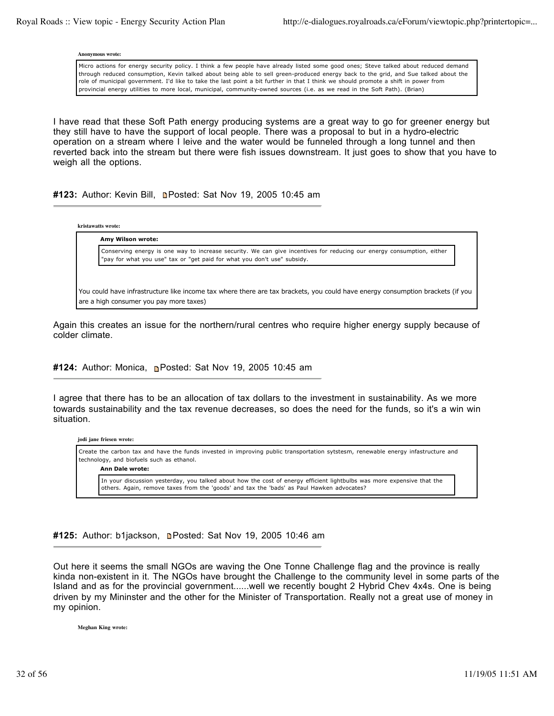**Anonymous wrote:**

Micro actions for energy security policy. I think a few people have already listed some good ones; Steve talked about reduced demand through reduced consumption, Kevin talked about being able to sell green-produced energy back to the grid, and Sue talked about the role of municipal government. I'd like to take the last point a bit further in that I think we should promote a shift in power from provincial energy utilities to more local, municipal, community-owned sources (i.e. as we read in the Soft Path). (Brian)

I have read that these Soft Path energy producing systems are a great way to go for greener energy but they still have to have the support of local people. There was a proposal to but in a hydro-electric operation on a stream where I leive and the water would be funneled through a long tunnel and then reverted back into the stream but there were fish issues downstream. It just goes to show that you have to weigh all the options.

# **#123:** Author: Kevin Bill, Posted: Sat Nov 19, 2005 10:45 am

**kristawatts wrote: Amy Wilson wrote:** Conserving energy is one way to increase security. We can give incentives for reducing our energy consumption, either "pay for what you use" tax or "get paid for what you don't use" subsidy. You could have infrastructure like income tax where there are tax brackets, you could have energy consumption brackets (if you

Again this creates an issue for the northern/rural centres who require higher energy supply because of

**#124:** Author: Monica, **Posted: Sat Nov 19, 2005 10:45 am** 

I agree that there has to be an allocation of tax dollars to the investment in sustainability. As we more towards sustainability and the tax revenue decreases, so does the need for the funds, so it's a win win situation.

Create the carbon tax and have the funds invested in improving public transportation sytstesm, renewable energy infastructure and technology, and biofuels such as ethanol.

**Ann Dale wrote:**

**jodi jane friesen wrote:**

are a high consumer you pay more taxes)

colder climate.

In your discussion yesterday, you talked about how the cost of energy efficient lightbulbs was more expensive that the others. Again, remove taxes from the 'goods' and tax the 'bads' as Paul Hawken advocates?

#125: Author: b1jackson, **n**Posted: Sat Nov 19, 2005 10:46 am

Out here it seems the small NGOs are waving the One Tonne Challenge flag and the province is really kinda non-existent in it. The NGOs have brought the Challenge to the community level in some parts of the Island and as for the provincial government......well we recently bought 2 Hybrid Chev 4x4s. One is being driven by my Mininster and the other for the Minister of Transportation. Really not a great use of money in my opinion.

**Meghan King wrote:**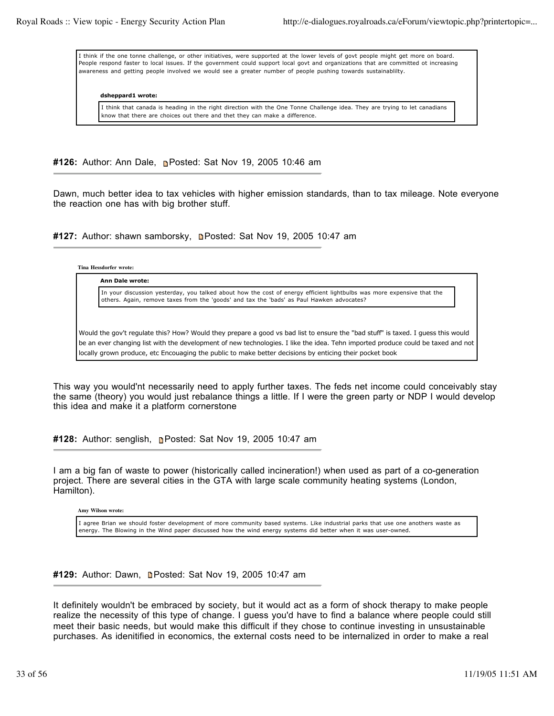I think if the one tonne challenge, or other initiatives, were supported at the lower levels of govt people might get more on board. People respond faster to local issues. If the government could support local govt and organizations that are committed ot increasing awareness and getting people involved we would see a greater number of people pushing towards sustainablilty.

#### **dsheppard1 wrote:**

I think that canada is heading in the right direction with the One Tonne Challenge idea. They are trying to let canadians know that there are choices out there and thet they can make a difference.

**#126:** Author: Ann Dale, Posted: Sat Nov 19, 2005 10:46 am

Dawn, much better idea to tax vehicles with higher emission standards, than to tax mileage. Note everyone the reaction one has with big brother stuff.

#127: Author: shawn samborsky, **n**Posted: Sat Nov 19, 2005 10:47 am

**Tina Hessdorfer wrote:**

**Ann Dale wrote:**

In your discussion yesterday, you talked about how the cost of energy efficient lightbulbs was more expensive that the others. Again, remove taxes from the 'goods' and tax the 'bads' as Paul Hawken advocates?

Would the gov't regulate this? How? Would they prepare a good vs bad list to ensure the "bad stuff" is taxed. I guess this would be an ever changing list with the development of new technologies. I like the idea. Tehn imported produce could be taxed and not locally grown produce, etc Encouaging the public to make better decisions by enticing their pocket book

This way you would'nt necessarily need to apply further taxes. The feds net income could conceivably stay the same (theory) you would just rebalance things a little. If I were the green party or NDP I would develop this idea and make it a platform cornerstone

**#128:** Author: senglish, Posted: Sat Nov 19, 2005 10:47 am

I am a big fan of waste to power (historically called incineration!) when used as part of a co-generation project. There are several cities in the GTA with large scale community heating systems (London, Hamilton).

**Amy Wilson wrote:**

I agree Brian we should foster development of more community based systems. Like industrial parks that use one anothers waste as energy. The Blowing in the Wind paper discussed how the wind energy systems did better when it was user-owned.

**#129:** Author: Dawn, **n**Posted: Sat Nov 19, 2005 10:47 am

It definitely wouldn't be embraced by society, but it would act as a form of shock therapy to make people realize the necessity of this type of change. I guess you'd have to find a balance where people could still meet their basic needs, but would make this difficult if they chose to continue investing in unsustainable purchases. As idenitified in economics, the external costs need to be internalized in order to make a real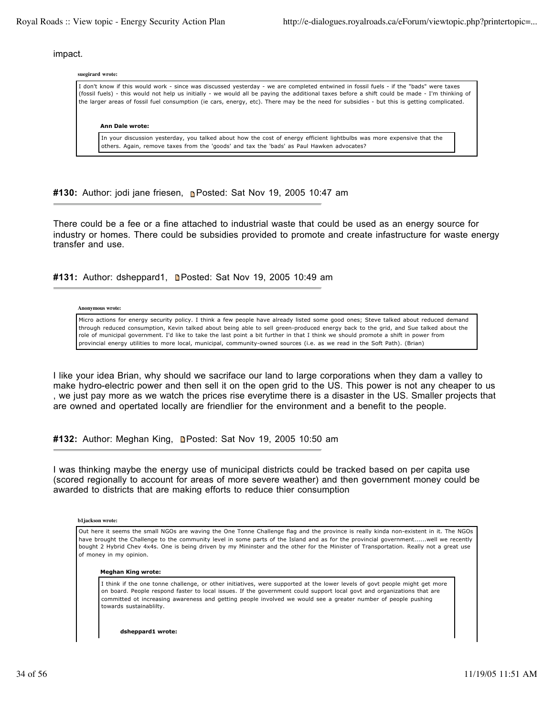impact.

| suegirard wrote:                                                                                                                                                                                                                                                                                                                                                                                                                       |  |
|----------------------------------------------------------------------------------------------------------------------------------------------------------------------------------------------------------------------------------------------------------------------------------------------------------------------------------------------------------------------------------------------------------------------------------------|--|
| I don't know if this would work - since was discussed yesterday - we are completed entwined in fossil fuels - if the "bads" were taxes<br>(fossil fuels) - this would not help us initially - we would all be paying the additional taxes before a shift could be made - I'm thinking of<br>the larger areas of fossil fuel consumption (ie cars, energy, etc). There may be the need for subsidies - but this is getting complicated. |  |
| Ann Dale wrote:                                                                                                                                                                                                                                                                                                                                                                                                                        |  |
| In your discussion yesterday, you talked about how the cost of energy efficient lightbulbs was more expensive that the<br>others. Again, remove taxes from the 'goods' and tax the 'bads' as Paul Hawken advocates?                                                                                                                                                                                                                    |  |

**#130:** Author: jodi jane friesen, Posted: Sat Nov 19, 2005 10:47 am

There could be a fee or a fine attached to industrial waste that could be used as an energy source for industry or homes. There could be subsidies provided to promote and create infastructure for waste energy transfer and use.

#131: Author: dsheppard1, **n**Posted: Sat Nov 19, 2005 10:49 am

#### **Anonymous wrote:**

Micro actions for energy security policy. I think a few people have already listed some good ones; Steve talked about reduced demand through reduced consumption, Kevin talked about being able to sell green-produced energy back to the grid, and Sue talked about the role of municipal government. I'd like to take the last point a bit further in that I think we should promote a shift in power from provincial energy utilities to more local, municipal, community-owned sources (i.e. as we read in the Soft Path). (Brian)

I like your idea Brian, why should we sacriface our land to large corporations when they dam a valley to make hydro-electric power and then sell it on the open grid to the US. This power is not any cheaper to us , we just pay more as we watch the prices rise everytime there is a disaster in the US. Smaller projects that are owned and opertated locally are friendlier for the environment and a benefit to the people.

**#132:** Author: Meghan King, Posted: Sat Nov 19, 2005 10:50 am

I was thinking maybe the energy use of municipal districts could be tracked based on per capita use (scored regionally to account for areas of more severe weather) and then government money could be awarded to districts that are making efforts to reduce thier consumption

**b1jackson wrote:**

Out here it seems the small NGOs are waving the One Tonne Challenge flag and the province is really kinda non-existent in it. The NGOs have brought the Challenge to the community level in some parts of the Island and as for the provincial government......well we recently bought 2 Hybrid Chev 4x4s. One is being driven by my Mininster and the other for the Minister of Transportation. Really not a great use of money in my opinion.

#### **Meghan King wrote:**

I think if the one tonne challenge, or other initiatives, were supported at the lower levels of govt people might get more on board. People respond faster to local issues. If the government could support local govt and organizations that are committed ot increasing awareness and getting people involved we would see a greater number of people pushing towards sustainablilty.

**dsheppard1 wrote:**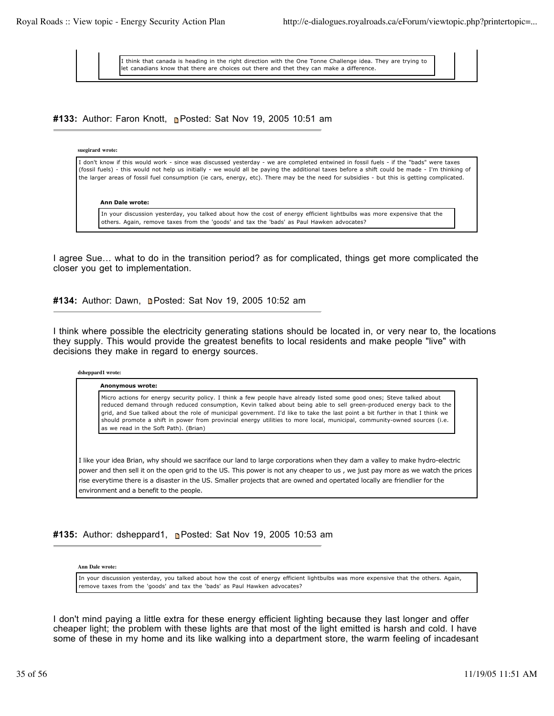I think that canada is heading in the right direction with the One Tonne Challenge idea. They are trying to let canadians know that there are choices out there and thet they can make a difference.

**#133:** Author: Faron Knott, **Posted: Sat Nov 19, 2005 10:51 am** 

# **suegirard wrote:**

| I don't know if this would work - since was discussed yesterday - we are completed entwined in fossil fuels - if the "bads" were taxes<br>(fossil fuels) - this would not help us initially - we would all be paying the additional taxes before a shift could be made - I'm thinking of<br>the larger areas of fossil fuel consumption (ie cars, energy, etc). There may be the need for subsidies - but this is getting complicated. |
|----------------------------------------------------------------------------------------------------------------------------------------------------------------------------------------------------------------------------------------------------------------------------------------------------------------------------------------------------------------------------------------------------------------------------------------|
| Ann Dale wrote:                                                                                                                                                                                                                                                                                                                                                                                                                        |

In your discussion yesterday, you talked about how the cost of energy efficient lightbulbs was more expensive that the others. Again, remove taxes from the 'goods' and tax the 'bads' as Paul Hawken advocates?

I agree Sue… what to do in the transition period? as for complicated, things get more complicated the closer you get to implementation.

**#134:** Author: Dawn, **Denatal Posted: Sat Nov 19, 2005 10:52 am** 

I think where possible the electricity generating stations should be located in, or very near to, the locations they supply. This would provide the greatest benefits to local residents and make people "live" with decisions they make in regard to energy sources.

#### **dsheppard1 wrote:**

#### **Anonymous wrote:** Micro actions for energy security policy. I think a few people have already listed some good ones; Steve talked about reduced demand through reduced consumption, Kevin talked about being able to sell green-produced energy back to the grid, and Sue talked about the role of municipal government. I'd like to take the last point a bit further in that I think we should promote a shift in power from provincial energy utilities to more local, municipal, community-owned sources (i.e. as we read in the Soft Path). (Brian)

I like your idea Brian, why should we sacriface our land to large corporations when they dam a valley to make hydro-electric power and then sell it on the open grid to the US. This power is not any cheaper to us , we just pay more as we watch the prices rise everytime there is a disaster in the US. Smaller projects that are owned and opertated locally are friendlier for the environment and a benefit to the people.

# **#135:** Author: dsheppard1, Posted: Sat Nov 19, 2005 10:53 am

**Ann Dale wrote:**

In your discussion yesterday, you talked about how the cost of energy efficient lightbulbs was more expensive that the others. Again, remove taxes from the 'goods' and tax the 'bads' as Paul Hawken advocates?

I don't mind paying a little extra for these energy efficient lighting because they last longer and offer cheaper light; the problem with these lights are that most of the light emitted is harsh and cold. I have some of these in my home and its like walking into a department store, the warm feeling of incadesant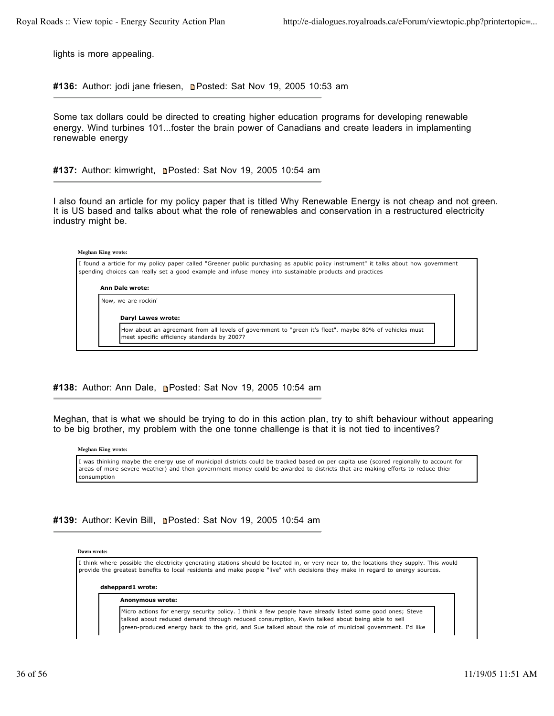lights is more appealing.

#136: Author: jodi jane friesen, **n**Posted: Sat Nov 19, 2005 10:53 am

Some tax dollars could be directed to creating higher education programs for developing renewable energy. Wind turbines 101...foster the brain power of Canadians and create leaders in implamenting renewable energy

#137: Author: kimwright, **n**Posted: Sat Nov 19, 2005 10:54 am

I also found an article for my policy paper that is titled Why Renewable Energy is not cheap and not green. It is US based and talks about what the role of renewables and conservation in a restructured electricity industry might be.

### **Meghan King wrote:**

I found a article for my policy paper called "Greener public purchasing as apublic policy instrument" it talks about how government spending choices can really set a good example and infuse money into sustainable products and practices

#### **Ann Dale wrote:**

Now, we are rockin'

**Daryl Lawes wrote:**

How about an agreemant from all levels of government to "green it's fleet". maybe 80% of vehicles must meet specific efficiency standards by 2007?

# **#138:** Author: Ann Dale, Posted: Sat Nov 19, 2005 10:54 am

Meghan, that is what we should be trying to do in this action plan, try to shift behaviour without appearing to be big brother, my problem with the one tonne challenge is that it is not tied to incentives?

**Meghan King wrote:**

I was thinking maybe the energy use of municipal districts could be tracked based on per capita use (scored regionally to account for areas of more severe weather) and then government money could be awarded to districts that are making efforts to reduce thier consumption

## **#139:** Author: Kevin Bill, Posted: Sat Nov 19, 2005 10:54 am

#### **Dawn wrote:**

I think where possible the electricity generating stations should be located in, or very near to, the locations they supply. This would provide the greatest benefits to local residents and make people "live" with decisions they make in regard to energy sources.

#### **dsheppard1 wrote:**

#### **Anonymous wrote:**

Micro actions for energy security policy. I think a few people have already listed some good ones; Steve talked about reduced demand through reduced consumption, Kevin talked about being able to sell green-produced energy back to the grid, and Sue talked about the role of municipal government. I'd like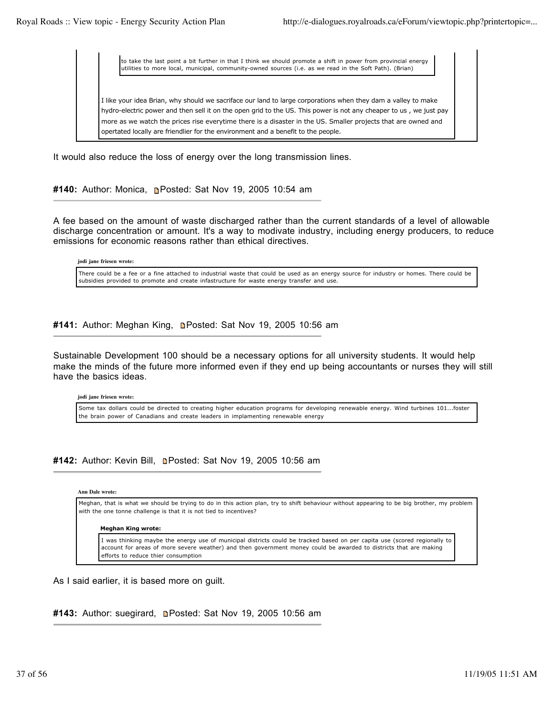to take the last point a bit further in that I think we should promote a shift in power from provincial energy utilities to more local, municipal, community-owned sources (i.e. as we read in the Soft Path). (Brian)

I like your idea Brian, why should we sacriface our land to large corporations when they dam a valley to make hydro-electric power and then sell it on the open grid to the US. This power is not any cheaper to us , we just pay more as we watch the prices rise everytime there is a disaster in the US. Smaller projects that are owned and opertated locally are friendlier for the environment and a benefit to the people.

It would also reduce the loss of energy over the long transmission lines.

**#140:** Author: Monica, Posted: Sat Nov 19, 2005 10:54 am

A fee based on the amount of waste discharged rather than the current standards of a level of allowable discharge concentration or amount. It's a way to modivate industry, including energy producers, to reduce emissions for economic reasons rather than ethical directives.

**jodi jane friesen wrote:**

There could be a fee or a fine attached to industrial waste that could be used as an energy source for industry or homes. There could be subsidies provided to promote and create infastructure for waste energy transfer and use.

**#141:** Author: Meghan King, Posted: Sat Nov 19, 2005 10:56 am

Sustainable Development 100 should be a necessary options for all university students. It would help make the minds of the future more informed even if they end up being accountants or nurses they will still have the basics ideas.

**jodi jane friesen wrote:**

Some tax dollars could be directed to creating higher education programs for developing renewable energy. Wind turbines 101...foster the brain power of Canadians and create leaders in implamenting renewable energy

**#142:** Author: Kevin Bill, Posted: Sat Nov 19, 2005 10:56 am

### **Ann Dale wrote:**

Meghan, that is what we should be trying to do in this action plan, try to shift behaviour without appearing to be big brother, my problem with the one tonne challenge is that it is not tied to incentives?

### **Meghan King wrote:**

I was thinking maybe the energy use of municipal districts could be tracked based on per capita use (scored regionally to account for areas of more severe weather) and then government money could be awarded to districts that are making efforts to reduce thier consumption

As I said earlier, it is based more on guilt.

#143: Author: suegirard, **n**Posted: Sat Nov 19, 2005 10:56 am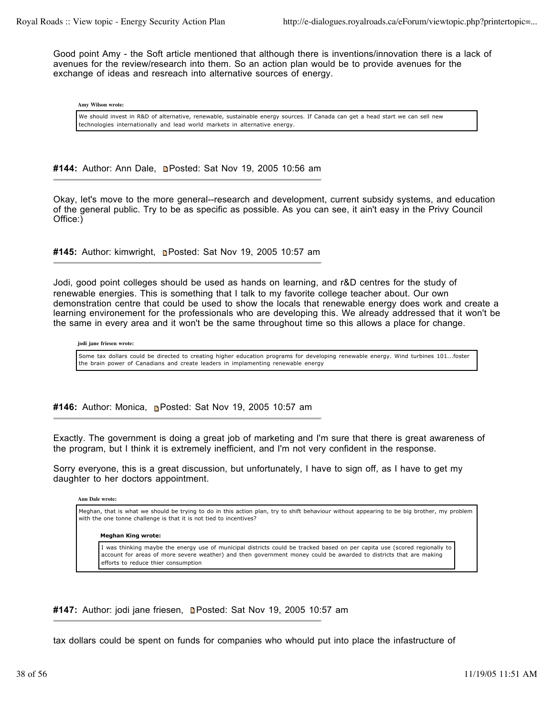Good point Amy - the Soft article mentioned that although there is inventions/innovation there is a lack of avenues for the review/research into them. So an action plan would be to provide avenues for the exchange of ideas and resreach into alternative sources of energy.

**Amy Wilson wrote:**

We should invest in R&D of alternative, renewable, sustainable energy sources. If Canada can get a head start we can sell new technologies internationally and lead world markets in alternative energy.

#144: Author: Ann Dale, **Denated: Sat Nov 19, 2005 10:56 am** 

Okay, let's move to the more general--research and development, current subsidy systems, and education of the general public. Try to be as specific as possible. As you can see, it ain't easy in the Privy Council Office:)

**#145:** Author: kimwright, Posted: Sat Nov 19, 2005 10:57 am

Jodi, good point colleges should be used as hands on learning, and r&D centres for the study of renewable energies. This is something that I talk to my favorite college teacher about. Our own demonstration centre that could be used to show the locals that renewable energy does work and create a learning environement for the professionals who are developing this. We already addressed that it won't be the same in every area and it won't be the same throughout time so this allows a place for change.

**jodi jane friesen wrote:**

Some tax dollars could be directed to creating higher education programs for developing renewable energy. Wind turbines 101...foster the brain power of Canadians and create leaders in implamenting renewable energy

**#146:** Author: Monica, Posted: Sat Nov 19, 2005 10:57 am

Exactly. The government is doing a great job of marketing and I'm sure that there is great awareness of the program, but I think it is extremely inefficient, and I'm not very confident in the response.

Sorry everyone, this is a great discussion, but unfortunately, I have to sign off, as I have to get my daughter to her doctors appointment.

**Ann Dale wrote:**

Meghan, that is what we should be trying to do in this action plan, try to shift behaviour without appearing to be big brother, my problem with the one tonne challenge is that it is not tied to incentives?

**Meghan King wrote:**

I was thinking maybe the energy use of municipal districts could be tracked based on per capita use (scored regionally to account for areas of more severe weather) and then government money could be awarded to districts that are making efforts to reduce thier consumption

#147: Author: jodi jane friesen, **n**Posted: Sat Nov 19, 2005 10:57 am

tax dollars could be spent on funds for companies who whould put into place the infastructure of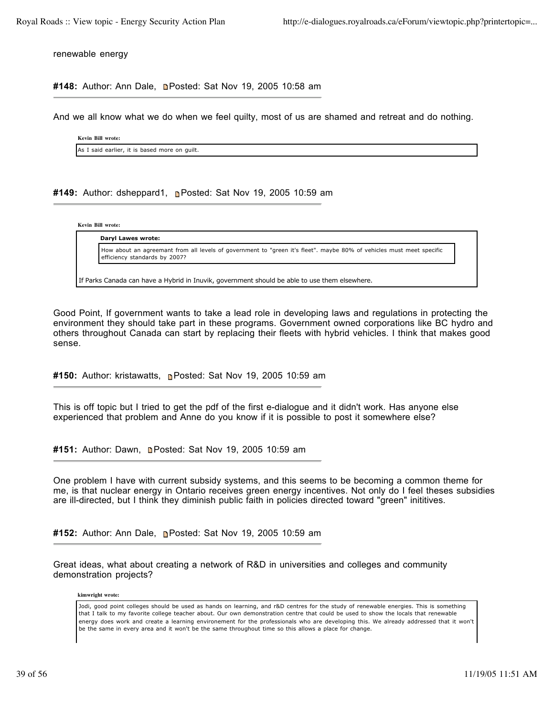renewable energy

#148: Author: Ann Dale, **Denated: Sat Nov 19, 2005 10:58 am** 

And we all know what we do when we feel quilty, most of us are shamed and retreat and do nothing.

**Kevin Bill wrote:** As I said earlier, it is based more on guilt.

**#149:** Author: dsheppard1, Posted: Sat Nov 19, 2005 10:59 am

**Kevin Bill wrote:**

**Daryl Lawes wrote:**

How about an agreemant from all levels of government to "green it's fleet". maybe 80% of vehicles must meet specific efficiency standards by 2007?

If Parks Canada can have a Hybrid in Inuvik, government should be able to use them elsewhere.

Good Point, If government wants to take a lead role in developing laws and regulations in protecting the environment they should take part in these programs. Government owned corporations like BC hydro and others throughout Canada can start by replacing their fleets with hybrid vehicles. I think that makes good sense.

**#150:** Author: kristawatts, **Posted: Sat Nov 19, 2005 10:59 am** 

This is off topic but I tried to get the pdf of the first e-dialogue and it didn't work. Has anyone else experienced that problem and Anne do you know if it is possible to post it somewhere else?

#151: Author: Dawn, **n**Posted: Sat Nov 19, 2005 10:59 am

One problem I have with current subsidy systems, and this seems to be becoming a common theme for me, is that nuclear energy in Ontario receives green energy incentives. Not only do I feel theses subsidies are ill-directed, but I think they diminish public faith in policies directed toward "green" inititives.

**#152:** Author: Ann Dale, Posted: Sat Nov 19, 2005 10:59 am

Great ideas, what about creating a network of R&D in universities and colleges and community demonstration projects?

**kimwright wrote:**

Jodi, good point colleges should be used as hands on learning, and r&D centres for the study of renewable energies. This is something that I talk to my favorite college teacher about. Our own demonstration centre that could be used to show the locals that renewable energy does work and create a learning environement for the professionals who are developing this. We already addressed that it won't be the same in every area and it won't be the same throughout time so this allows a place for change.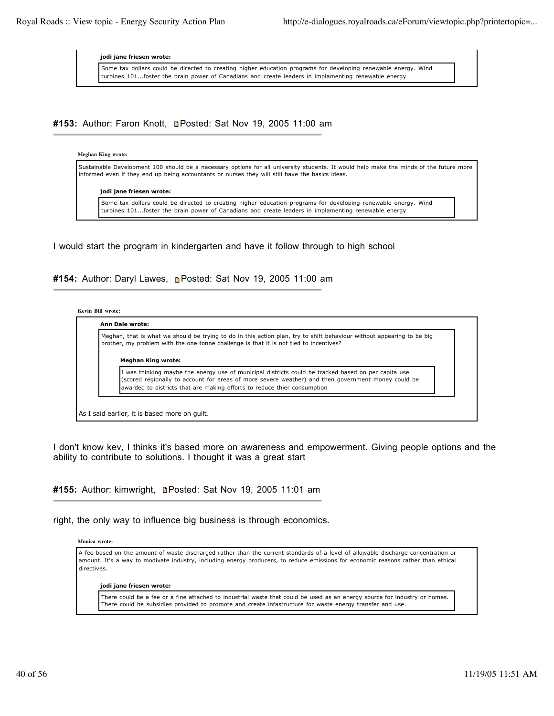**jodi jane friesen wrote:**

Some tax dollars could be directed to creating higher education programs for developing renewable energy. Wind turbines 101...foster the brain power of Canadians and create leaders in implamenting renewable energy

**#153:** Author: Faron Knott, Posted: Sat Nov 19, 2005 11:00 am

### **Meghan King wrote:**

Sustainable Development 100 should be a necessary options for all university students. It would help make the minds of the future more informed even if they end up being accountants or nurses they will still have the basics ideas.

**jodi jane friesen wrote:**

Some tax dollars could be directed to creating higher education programs for developing renewable energy. Wind turbines 101...foster the brain power of Canadians and create leaders in implamenting renewable energy

I would start the program in kindergarten and have it follow through to high school

#154: Author: Daryl Lawes, **n**Posted: Sat Nov 19, 2005 11:00 am

|  | Kevin Bill wrote: |
|--|-------------------|
|  |                   |

| Meghan, that is what we should be trying to do in this action plan, try to shift behaviour without appearing to be big<br>brother, my problem with the one tonne challenge is that it is not tied to incentives?                                                                      |
|---------------------------------------------------------------------------------------------------------------------------------------------------------------------------------------------------------------------------------------------------------------------------------------|
| <b>Meghan King wrote:</b>                                                                                                                                                                                                                                                             |
| I was thinking maybe the energy use of municipal districts could be tracked based on per capita use<br>(scored regionally to account for areas of more severe weather) and then government money could be<br>awarded to districts that are making efforts to reduce thier consumption |

I don't know kev, I thinks it's based more on awareness and empowerment. Giving people options and the ability to contribute to solutions. I thought it was a great start

**#155:** Author: kimwright, Posted: Sat Nov 19, 2005 11:01 am

right, the only way to influence big business is through economics.

**Monica wrote:**

A fee based on the amount of waste discharged rather than the current standards of a level of allowable discharge concentration or amount. It's a way to modivate industry, including energy producers, to reduce emissions for economic reasons rather than ethical directives.

**jodi jane friesen wrote:**

There could be a fee or a fine attached to industrial waste that could be used as an energy source for industry or homes. There could be subsidies provided to promote and create infastructure for waste energy transfer and use.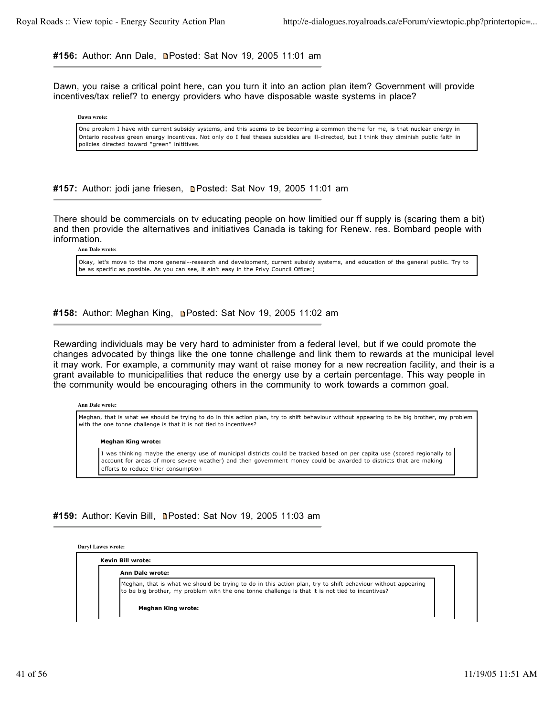#156: Author: Ann Dale, **n**Posted: Sat Nov 19, 2005 11:01 am

Dawn, you raise a critical point here, can you turn it into an action plan item? Government will provide incentives/tax relief? to energy providers who have disposable waste systems in place?

**Dawn wrote:**

One problem I have with current subsidy systems, and this seems to be becoming a common theme for me, is that nuclear energy in Ontario receives green energy incentives. Not only do I feel theses subsidies are ill-directed, but I think they diminish public faith in policies directed toward "green" inititives.

#157: Author: jodi jane friesen, **n**Posted: Sat Nov 19, 2005 11:01 am

There should be commercials on tv educating people on how limitied our ff supply is (scaring them a bit) and then provide the alternatives and initiatives Canada is taking for Renew. res. Bombard people with information.

**Ann Dale wrote:**

Okay, let's move to the more general--research and development, current subsidy systems, and education of the general public. Try to be as specific as possible. As you can see, it ain't easy in the Privy Council Office:)

**#158:** Author: Meghan King, Posted: Sat Nov 19, 2005 11:02 am

Rewarding individuals may be very hard to administer from a federal level, but if we could promote the changes advocated by things like the one tonne challenge and link them to rewards at the municipal level it may work. For example, a community may want ot raise money for a new recreation facility, and their is a grant available to municipalities that reduce the energy use by a certain percentage. This way people in the community would be encouraging others in the community to work towards a common goal.

**Ann Dale wrote:**

Meghan, that is what we should be trying to do in this action plan, try to shift behaviour without appearing to be big brother, my problem with the one tonne challenge is that it is not tied to incentives?

#### **Meghan King wrote:**

I was thinking maybe the energy use of municipal districts could be tracked based on per capita use (scored regionally to account for areas of more severe weather) and then government money could be awarded to districts that are making efforts to reduce thier consumption

**#159:** Author: Kevin Bill, Posted: Sat Nov 19, 2005 11:03 am

**Daryl Lawes wrote:**

**Kevin Bill wrote: Ann Dale wrote:** Meghan, that is what we should be trying to do in this action plan, try to shift behaviour without appearing to be big brother, my problem with the one tonne challenge is that it is not tied to incentives? **Meghan King wrote:**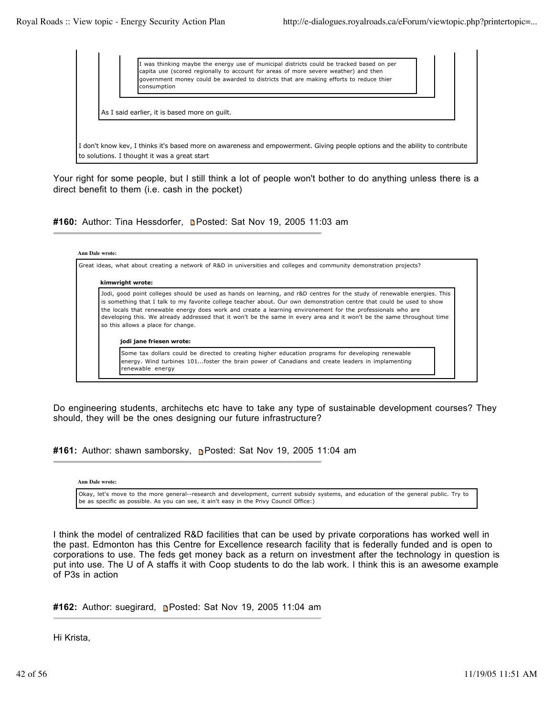

Your right for some people, but I still think a lot of people won't bother to do anything unless there is a direct benefit to them (i.e. cash in the pocket)

**#160:** Author: Tina Hessdorfer, Posted: Sat Nov 19, 2005 11:03 am

| Great ideas, what about creating a network of R&D in universities and colleges and community demonstration projects?                                                                                                                                                                                                                                                                                                                                                                                                                                          |
|---------------------------------------------------------------------------------------------------------------------------------------------------------------------------------------------------------------------------------------------------------------------------------------------------------------------------------------------------------------------------------------------------------------------------------------------------------------------------------------------------------------------------------------------------------------|
| kimwright wrote:                                                                                                                                                                                                                                                                                                                                                                                                                                                                                                                                              |
| Jodi, good point colleges should be used as hands on learning, and r&D centres for the study of renewable energies. This<br>is something that I talk to my favorite college teacher about. Our own demonstration centre that could be used to show<br>the locals that renewable energy does work and create a learning environement for the professionals who are<br>developing this. We already addressed that it won't be the same in every area and it won't be the same throughout time<br>so this allows a place for change.<br>jodi jane friesen wrote: |
| Some tax dollars could be directed to creating higher education programs for developing renewable<br>energy. Wind turbines 101foster the brain power of Canadians and create leaders in implamenting                                                                                                                                                                                                                                                                                                                                                          |

Do engineering students, architechs etc have to take any type of sustainable development courses? They should, they will be the ones designing our future infrastructure?

**#161:** Author: shawn samborsky, **P**osted: Sat Nov 19, 2005 11:04 am

**Ann Dale wrote:**

Okay, let's move to the more general--research and development, current subsidy systems, and education of the general public. Try to be as specific as possible. As you can see, it ain't easy in the Privy Council Office:)

I think the model of centralized R&D facilities that can be used by private corporations has worked well in the past. Edmonton has this Centre for Excellence research facility that is federally funded and is open to corporations to use. The feds get money back as a return on investment after the technology in question is put into use. The U of A staffs it with Coop students to do the lab work. I think this is an awesome example of P3s in action

**#162:** Author: suegirard, Posted: Sat Nov 19, 2005 11:04 am

Hi Krista,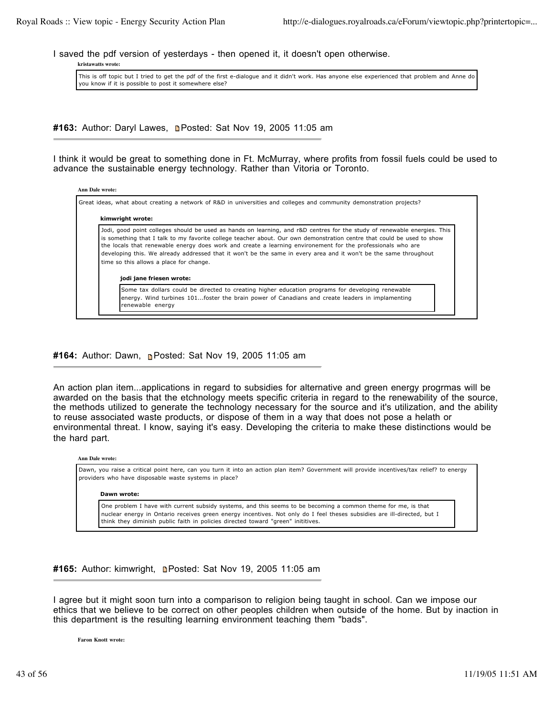I saved the pdf version of yesterdays - then opened it, it doesn't open otherwise.

**kristawatts wrote:**

This is off topic but I tried to get the pdf of the first e-dialogue and it didn't work. Has anyone else experienced that problem and Anne do you know if it is possible to post it somewhere else?

#163: Author: Daryl Lawes, **n**Posted: Sat Nov 19, 2005 11:05 am

I think it would be great to something done in Ft. McMurray, where profits from fossil fuels could be used to advance the sustainable energy technology. Rather than Vitoria or Toronto.

| kimwright wrote:                                                                                                                                                                                                                                                                                                                                                                                                                                                                                                                                              |
|---------------------------------------------------------------------------------------------------------------------------------------------------------------------------------------------------------------------------------------------------------------------------------------------------------------------------------------------------------------------------------------------------------------------------------------------------------------------------------------------------------------------------------------------------------------|
| Jodi, good point colleges should be used as hands on learning, and r&D centres for the study of renewable energies. This<br>is something that I talk to my favorite college teacher about. Our own demonstration centre that could be used to show<br>the locals that renewable energy does work and create a learning environement for the professionals who are<br>developing this. We already addressed that it won't be the same in every area and it won't be the same throughout<br>time so this allows a place for change.<br>jodi jane friesen wrote: |
|                                                                                                                                                                                                                                                                                                                                                                                                                                                                                                                                                               |
| Some tax dollars could be directed to creating higher education programs for developing renewable                                                                                                                                                                                                                                                                                                                                                                                                                                                             |

# **#164:** Author: Dawn, **Posted: Sat Nov 19, 2005 11:05 am**

An action plan item...applications in regard to subsidies for alternative and green energy progrmas will be awarded on the basis that the etchnology meets specific criteria in regard to the renewability of the source, the methods utilized to generate the technology necessary for the source and it's utilization, and the ability to reuse associated waste products, or dispose of them in a way that does not pose a helath or environmental threat. I know, saying it's easy. Developing the criteria to make these distinctions would be the hard part.

### **Ann Dale wrote:**

Dawn, you raise a critical point here, can you turn it into an action plan item? Government will provide incentives/tax relief? to energy providers who have disposable waste systems in place?

### **Dawn wrote:**

One problem I have with current subsidy systems, and this seems to be becoming a common theme for me, is that nuclear energy in Ontario receives green energy incentives. Not only do I feel theses subsidies are ill-directed, but I think they diminish public faith in policies directed toward "green" inititives.

**#165:** Author: kimwright, Posted: Sat Nov 19, 2005 11:05 am

I agree but it might soon turn into a comparison to religion being taught in school. Can we impose our ethics that we believe to be correct on other peoples children when outside of the home. But by inaction in this department is the resulting learning environment teaching them "bads".

**Faron Knott wrote:**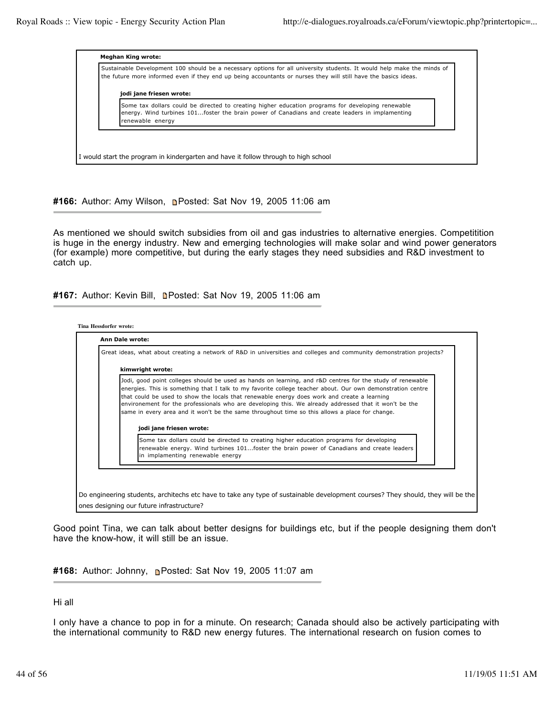| Sustainable Development 100 should be a necessary options for all university students. It would help make the minds of<br>the future more informed even if they end up being accountants or nurses they will still have the basics ideas. |
|-------------------------------------------------------------------------------------------------------------------------------------------------------------------------------------------------------------------------------------------|
| jodi jane friesen wrote:                                                                                                                                                                                                                  |
| Some tax dollars could be directed to creating higher education programs for developing renewable<br>energy. Wind turbines 101foster the brain power of Canadians and create leaders in implamenting<br>renewable energy                  |
|                                                                                                                                                                                                                                           |

**#166:** Author: Amy Wilson, Posted: Sat Nov 19, 2005 11:06 am

As mentioned we should switch subsidies from oil and gas industries to alternative energies. Competitition is huge in the energy industry. New and emerging technologies will make solar and wind power generators (for example) more competitive, but during the early stages they need subsidies and R&D investment to catch up.

**#167:** Author: Kevin Bill, Posted: Sat Nov 19, 2005 11:06 am



Good point Tina, we can talk about better designs for buildings etc, but if the people designing them don't have the know-how, it will still be an issue.

**#168:** Author: Johnny, Posted: Sat Nov 19, 2005 11:07 am

Hi all

I only have a chance to pop in for a minute. On research; Canada should also be actively participating with the international community to R&D new energy futures. The international research on fusion comes to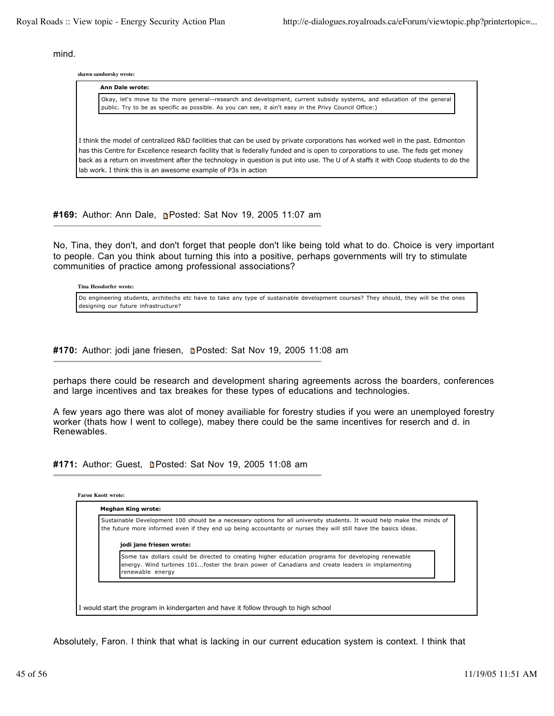mind.

**shawn samborsky wrote:**

| Ann Dale wrote:                                                                                                                                                                                                                                                    |  |  |  |
|--------------------------------------------------------------------------------------------------------------------------------------------------------------------------------------------------------------------------------------------------------------------|--|--|--|
| Okay, let's move to the more general--research and development, current subsidy systems, and education of the general<br>public. Try to be as specific as possible. As you can see, it ain't easy in the Privy Council Office:)                                    |  |  |  |
|                                                                                                                                                                                                                                                                    |  |  |  |
| I think the model of centralized R&D facilities that can be used by private corporations has worked well in the past. Edmonton<br>has this Centre for Excellence research facility that is federally funded and is open to corporations to use. The feds get money |  |  |  |
| back as a return on investment after the technology in question is put into use. The U of A staffs it with Coop students to do the<br>lab work. I think this is an awesome example of P3s in action                                                                |  |  |  |

**#169:** Author: Ann Dale, Posted: Sat Nov 19, 2005 11:07 am

No, Tina, they don't, and don't forget that people don't like being told what to do. Choice is very important to people. Can you think about turning this into a positive, perhaps governments will try to stimulate communities of practice among professional associations?

**Tina Hessdorfer wrote:**

Do engineering students, architechs etc have to take any type of sustainable development courses? They should, they will be the ones designing our future infrastructure?

#170: Author: jodi jane friesen, **n**Posted: Sat Nov 19, 2005 11:08 am

perhaps there could be research and development sharing agreements across the boarders, conferences and large incentives and tax breakes for these types of educations and technologies.

A few years ago there was alot of money availiable for forestry studies if you were an unemployed forestry worker (thats how I went to college), mabey there could be the same incentives for reserch and d. in Renewables.

#171: Author: Guest, **Denated: Sat Nov 19, 2005 11:08 am** 

| Sustainable Development 100 should be a necessary options for all university students. It would help make the minds of<br>the future more informed even if they end up being accountants or nurses they will still have the basics ideas. |
|-------------------------------------------------------------------------------------------------------------------------------------------------------------------------------------------------------------------------------------------|
| jodi jane friesen wrote:                                                                                                                                                                                                                  |
| Some tax dollars could be directed to creating higher education programs for developing renewable<br>energy. Wind turbines 101foster the brain power of Canadians and create leaders in implamenting<br>renewable energy                  |

Absolutely, Faron. I think that what is lacking in our current education system is context. I think that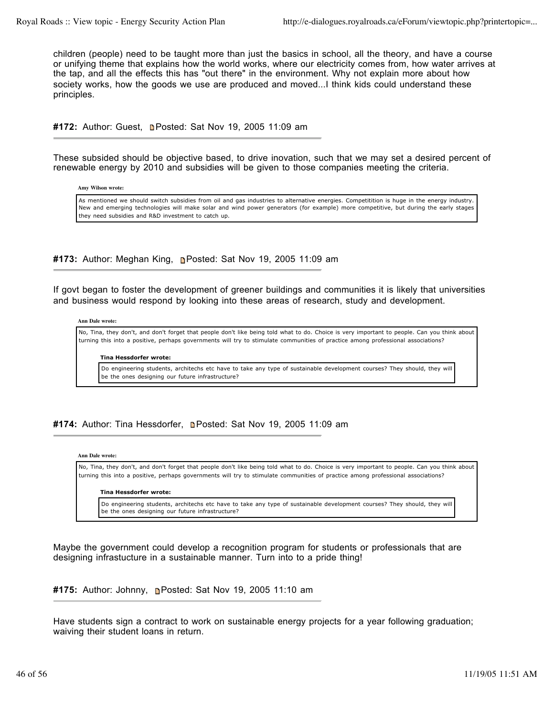children (people) need to be taught more than just the basics in school, all the theory, and have a course or unifying theme that explains how the world works, where our electricity comes from, how water arrives at the tap, and all the effects this has "out there" in the environment. Why not explain more about how society works, how the goods we use are produced and moved...I think kids could understand these principles.

**#172:** Author: Guest. **Denated: Sat Nov 19, 2005 11:09 am** 

These subsided should be objective based, to drive inovation, such that we may set a desired percent of renewable energy by 2010 and subsidies will be given to those companies meeting the criteria.

**Amy Wilson wrote:**

As mentioned we should switch subsidies from oil and gas industries to alternative energies. Competitition is huge in the energy industry. New and emerging technologies will make solar and wind power generators (for example) more competitive, but during the early stages they need subsidies and R&D investment to catch up.

**#173:** Author: Meghan King, Posted: Sat Nov 19, 2005 11:09 am

If govt began to foster the development of greener buildings and communities it is likely that universities and business would respond by looking into these areas of research, study and development.

**Ann Dale wrote:**

No, Tina, they don't, and don't forget that people don't like being told what to do. Choice is very important to people. Can you think about turning this into a positive, perhaps governments will try to stimulate communities of practice among professional associations?

**Tina Hessdorfer wrote:**

Do engineering students, architechs etc have to take any type of sustainable development courses? They should, they will be the ones designing our future infrastructure?

# #174: Author: Tina Hessdorfer, **n**Posted: Sat Nov 19, 2005 11:09 am

### **Ann Dale wrote:**

No, Tina, they don't, and don't forget that people don't like being told what to do. Choice is very important to people. Can you think about turning this into a positive, perhaps governments will try to stimulate communities of practice among professional associations?

### **Tina Hessdorfer wrote:**

Do engineering students, architechs etc have to take any type of sustainable development courses? They should, they will be the ones designing our future infrastructure?

Maybe the government could develop a recognition program for students or professionals that are designing infrastucture in a sustainable manner. Turn into to a pride thing!

```
#175: Author: Johnny, Posted: Sat Nov 19, 2005 11:10 am
```
Have students sign a contract to work on sustainable energy projects for a year following graduation; waiving their student loans in return.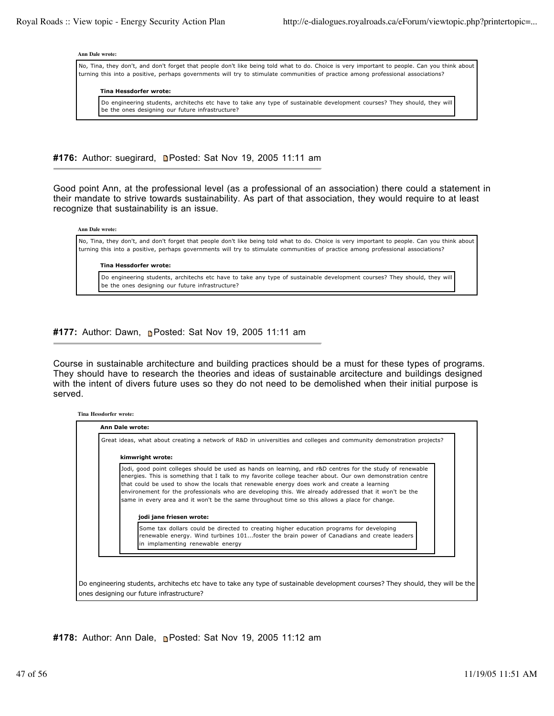#### **Ann Dale wrote:**

No, Tina, they don't, and don't forget that people don't like being told what to do. Choice is very important to people. Can you think about turning this into a positive, perhaps governments will try to stimulate communities of practice among professional associations?

### **Tina Hessdorfer wrote:**

Do engineering students, architechs etc have to take any type of sustainable development courses? They should, they will be the ones designing our future infrastructure?

**#176:** Author: suegirard, Posted: Sat Nov 19, 2005 11:11 am

Good point Ann, at the professional level (as a professional of an association) there could a statement in their mandate to strive towards sustainability. As part of that association, they would require to at least recognize that sustainability is an issue.

**Ann Dale wrote:**

No, Tina, they don't, and don't forget that people don't like being told what to do. Choice is very important to people. Can you think about turning this into a positive, perhaps governments will try to stimulate communities of practice among professional associations?

#### **Tina Hessdorfer wrote:**

Do engineering students, architechs etc have to take any type of sustainable development courses? They should, they will be the ones designing our future infrastructure?

# **#177:** Author: Dawn, Posted: Sat Nov 19, 2005 11:11 am

Course in sustainable architecture and building practices should be a must for these types of programs. They should have to research the theories and ideas of sustainable arcitecture and buildings designed with the intent of divers future uses so they do not need to be demolished when their initial purpose is served.

### **Tina Hessdorfer wrote:**

| kimwright wrote:                                                                                                                                                                                                                                                                                                                                                                                                                                                                                                                                              |
|---------------------------------------------------------------------------------------------------------------------------------------------------------------------------------------------------------------------------------------------------------------------------------------------------------------------------------------------------------------------------------------------------------------------------------------------------------------------------------------------------------------------------------------------------------------|
| Jodi, good point colleges should be used as hands on learning, and r&D centres for the study of renewable<br>energies. This is something that I talk to my favorite college teacher about. Our own demonstration centre<br>that could be used to show the locals that renewable energy does work and create a learning<br>environement for the professionals who are developing this. We already addressed that it won't be the<br>same in every area and it won't be the same throughout time so this allows a place for change.<br>jodi jane friesen wrote: |
| Some tax dollars could be directed to creating higher education programs for developing<br>renewable energy. Wind turbines 101foster the brain power of Canadians and create leaders<br>in implamenting renewable energy                                                                                                                                                                                                                                                                                                                                      |

Do engineering students, architechs etc have to take any type of sustainable development courses? They should, they will be the ones designing our future infrastructure?

**#178:** Author: Ann Dale, Posted: Sat Nov 19, 2005 11:12 am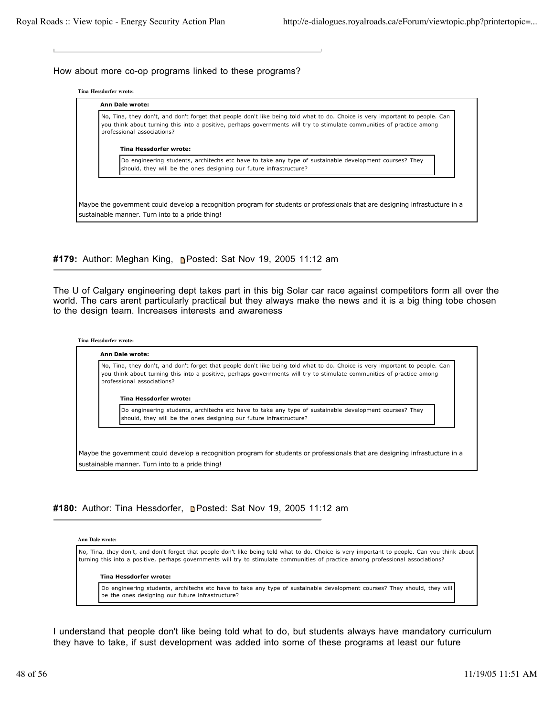### How about more co-op programs linked to these programs?

**Tina Hessdorfer wrote:**



**#179:** Author: Meghan King, Posted: Sat Nov 19, 2005 11:12 am

The U of Calgary engineering dept takes part in this big Solar car race against competitors form all over the world. The cars arent particularly practical but they always make the news and it is a big thing tobe chosen to the design team. Increases interests and awareness

| No, Tina, they don't, and don't forget that people don't like being told what to do. Choice is very important to people. Can<br>you think about turning this into a positive, perhaps governments will try to stimulate communities of practice among<br>professional associations? |
|-------------------------------------------------------------------------------------------------------------------------------------------------------------------------------------------------------------------------------------------------------------------------------------|
| Tina Hessdorfer wrote:                                                                                                                                                                                                                                                              |
| Do engineering students, architechs etc have to take any type of sustainable development courses? They<br>should, they will be the ones designing our future infrastructure?                                                                                                        |
|                                                                                                                                                                                                                                                                                     |
|                                                                                                                                                                                                                                                                                     |

#180: Author: Tina Hessdorfer, **n**Posted: Sat Nov 19, 2005 11:12 am

**Ann Dale wrote:**

No, Tina, they don't, and don't forget that people don't like being told what to do. Choice is very important to people. Can you think about turning this into a positive, perhaps governments will try to stimulate communities of practice among professional associations?

#### **Tina Hessdorfer wrote:**

Do engineering students, architechs etc have to take any type of sustainable development courses? They should, they will be the ones designing our future infrastructure?

I understand that people don't like being told what to do, but students always have mandatory curriculum they have to take, if sust development was added into some of these programs at least our future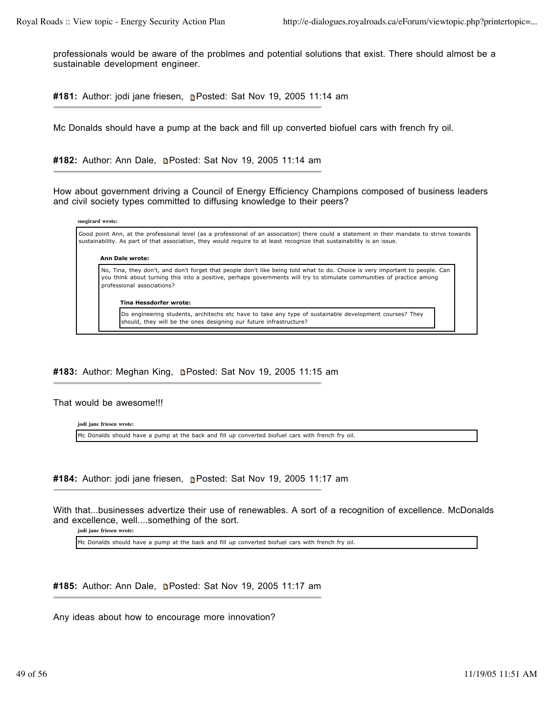professionals would be aware of the problmes and potential solutions that exist. There should almost be a sustainable development engineer.

#181: Author: jodi jane friesen, **Posted: Sat Nov 19, 2005 11:14 am** 

Mc Donalds should have a pump at the back and fill up converted biofuel cars with french fry oil.

#182: Author: Ann Dale, **n**Posted: Sat Nov 19, 2005 11:14 am

How about government driving a Council of Energy Efficiency Champions composed of business leaders and civil society types committed to diffusing knowledge to their peers?

| suegirard wrote:                                                                                                                                                                                                                                                                    |  |  |
|-------------------------------------------------------------------------------------------------------------------------------------------------------------------------------------------------------------------------------------------------------------------------------------|--|--|
| Good point Ann, at the professional level (as a professional of an association) there could a statement in their mandate to strive towards<br>sustainability. As part of that association, they would require to at least recognize that sustainability is an issue.                |  |  |
| <b>Ann Dale wrote:</b>                                                                                                                                                                                                                                                              |  |  |
| No, Tina, they don't, and don't forget that people don't like being told what to do. Choice is very important to people. Can<br>you think about turning this into a positive, perhaps governments will try to stimulate communities of practice among<br>professional associations? |  |  |
| Tina Hessdorfer wrote:                                                                                                                                                                                                                                                              |  |  |
| Do engineering students, architechs etc have to take any type of sustainable development courses? They<br>should, they will be the ones designing our future infrastructure?                                                                                                        |  |  |

# **#183:** Author: Meghan King, Posted: Sat Nov 19, 2005 11:15 am

### That would be awesome!!!

**jodi jane friesen wrote:** Mc Donalds should have a pump at the back and fill up converted biofuel cars with french fry oil.

**#184:** Author: jodi jane friesen, Posted: Sat Nov 19, 2005 11:17 am

With that...businesses advertize their use of renewables. A sort of a recognition of excellence. McDonalds and excellence, well....something of the sort.

**jodi jane friesen wrote:**

Mc Donalds should have a pump at the back and fill up converted biofuel cars with french fry oil.

#185: Author: Ann Dale, **n**Posted: Sat Nov 19, 2005 11:17 am

Any ideas about how to encourage more innovation?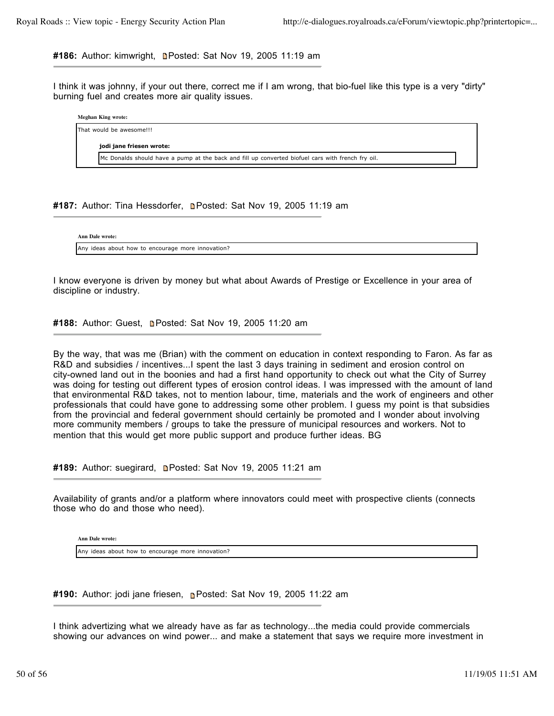#186: Author: kimwright, **n**Posted: Sat Nov 19, 2005 11:19 am

I think it was johnny, if your out there, correct me if I am wrong, that bio-fuel like this type is a very "dirty" burning fuel and creates more air quality issues.

| Meghan King wrote: |  |                                                                                                   |  |
|--------------------|--|---------------------------------------------------------------------------------------------------|--|
|                    |  | That would be awesome!!!                                                                          |  |
|                    |  | jodi jane friesen wrote:                                                                          |  |
|                    |  | Mc Donalds should have a pump at the back and fill up converted biofuel cars with french fry oil. |  |

#187: Author: Tina Hessdorfer, **Depart of Sat Nov 19, 2005 11:19 am** 

**Ann Dale wrote:** Any ideas about how to encourage more innovation?

I know everyone is driven by money but what about Awards of Prestige or Excellence in your area of discipline or industry.

#188: Author: Guest, **Depart Control**: Sat Nov 19, 2005 11:20 am

By the way, that was me (Brian) with the comment on education in context responding to Faron. As far as R&D and subsidies / incentives...I spent the last 3 days training in sediment and erosion control on city-owned land out in the boonies and had a first hand opportunity to check out what the City of Surrey was doing for testing out different types of erosion control ideas. I was impressed with the amount of land that environmental R&D takes, not to mention labour, time, materials and the work of engineers and other professionals that could have gone to addressing some other problem. I guess my point is that subsidies from the provincial and federal government should certainly be promoted and I wonder about involving more community members / groups to take the pressure of municipal resources and workers. Not to mention that this would get more public support and produce further ideas. BG

#189: Author: suegirard, **n**Posted: Sat Nov 19, 2005 11:21 am

Availability of grants and/or a platform where innovators could meet with prospective clients (connects those who do and those who need).

**Ann Dale wrote:**

Any ideas about how to encourage more innovation?

**#190:** Author: jodi jane friesen, Posted: Sat Nov 19, 2005 11:22 am

I think advertizing what we already have as far as technology...the media could provide commercials showing our advances on wind power... and make a statement that says we require more investment in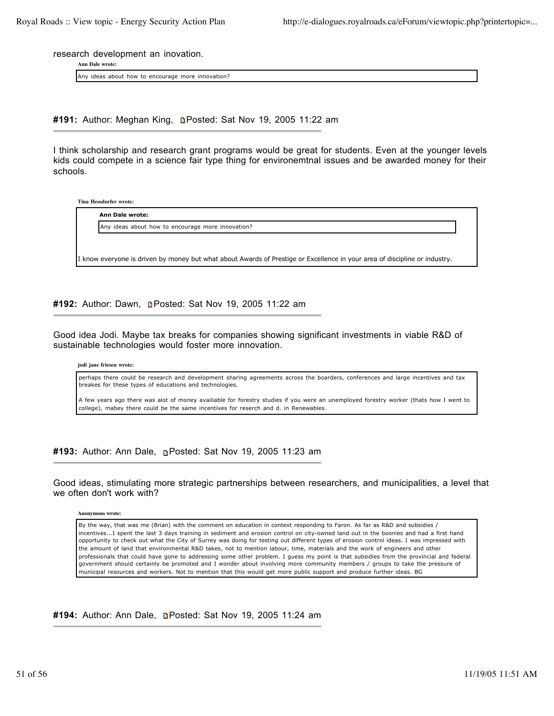research development an inovation.

**Ann Dale wrote:**

Any ideas about how to encourage more innovation?

**#191:** Author: Meghan King, Posted: Sat Nov 19, 2005 11:22 am

I think scholarship and research grant programs would be great for students. Even at the younger levels kids could compete in a science fair type thing for environemtnal issues and be awarded money for their schools.

**Tina Hessdorfer wrote:**

| Any ideas about how to encourage more innovation? |  |  |
|---------------------------------------------------|--|--|
|                                                   |  |  |

#192: Author: Dawn, **n**Posted: Sat Nov 19, 2005 11:22 am

Good idea Jodi. Maybe tax breaks for companies showing significant investments in viable R&D of sustainable technologies would foster more innovation.

**jodi jane friesen wrote:**

perhaps there could be research and development sharing agreements across the boarders, conferences and large incentives and tax breakes for these types of educations and technologies.

A few years ago there was alot of money availiable for forestry studies if you were an unemployed forestry worker (thats how I went to college), mabey there could be the same incentives for reserch and d. in Renewables.

**#193:** Author: Ann Dale, Posted: Sat Nov 19, 2005 11:23 am

Good ideas, stimulating more strategic partnerships between researchers, and municipalities, a level that we often don't work with?

**Anonymous wrote:**

By the way, that was me (Brian) with the comment on education in context responding to Faron. As far as R&D and subsidies / incentives...I spent the last 3 days training in sediment and erosion control on city-owned land out in the boonies and had a first hand opportunity to check out what the City of Surrey was doing for testing out different types of erosion control ideas. I was impressed with the amount of land that environmental R&D takes, not to mention labour, time, materials and the work of engineers and other professionals that could have gone to addressing some other problem. I guess my point is that subsidies from the provincial and federal government should certainly be promoted and I wonder about involving more community members / groups to take the pressure of municipal resources and workers. Not to mention that this would get more public support and produce further ideas. BG

#194: Author: Ann Dale, **n**Posted: Sat Nov 19, 2005 11:24 am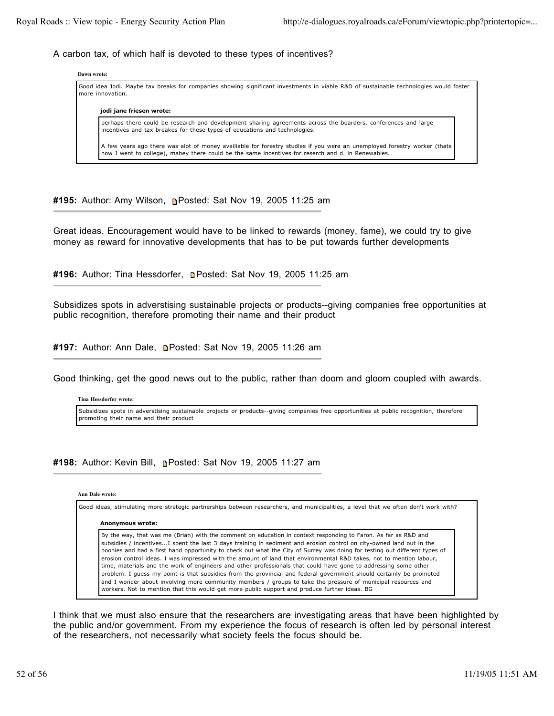# A carbon tax, of which half is devoted to these types of incentives?

# **Dawn wrote:** Good idea Jodi. Maybe tax breaks for companies showing significant investments in viable R&D of sustainable technologies would foster more innovation. **jodi jane friesen wrote:** perhaps there could be research and development sharing agreements across the boarders, conferences and large incentives and tax breakes for these types of educations and technologies. A few years ago there was alot of money availiable for forestry studies if you were an unemployed forestry worker (thats how I went to college), mabey there could be the same incentives for reserch and d. in Renewables.

**#195:** Author: Amy Wilson, Posted: Sat Nov 19, 2005 11:25 am

Great ideas. Encouragement would have to be linked to rewards (money, fame), we could try to give money as reward for innovative developments that has to be put towards further developments

**#196:** Author: Tina Hessdorfer, Posted: Sat Nov 19, 2005 11:25 am

Subsidizes spots in adverstising sustainable projects or products--giving companies free opportunities at public recognition, therefore promoting their name and their product

#197: Author: Ann Dale, **n**Posted: Sat Nov 19, 2005 11:26 am

Good thinking, get the good news out to the public, rather than doom and gloom coupled with awards.

**Tina Hessdorfer wrote:** Subsidizes spots in adverstising sustainable projects or products--giving companies free opportunities at public recognition, therefore promoting their name and their product

# **#198:** Author: Kevin Bill, Posted: Sat Nov 19, 2005 11:27 am

## **Ann Dale wrote:**

Good ideas, stimulating more strategic partnerships between researchers, and municipalities, a level that we often don't work with? **Anonymous wrote:** By the way, that was me (Brian) with the comment on education in context responding to Faron. As far as R&D and subsidies / incentives...I spent the last 3 days training in sediment and erosion control on city-owned land out in the boonies and had a first hand opportunity to check out what the City of Surrey was doing for testing out different types of erosion control ideas. I was impressed with the amount of land that environmental R&D takes, not to mention labour, time, materials and the work of engineers and other professionals that could have gone to addressing some other problem. I guess my point is that subsidies from the provincial and federal government should certainly be promoted and I wonder about involving more community members / groups to take the pressure of municipal resources and workers. Not to mention that this would get more public support and produce further ideas. BG

I think that we must also ensure that the researchers are investigating areas that have been highlighted by the public and/or government. From my experience the focus of research is often led by personal interest of the researchers, not necessarily what society feels the focus should be.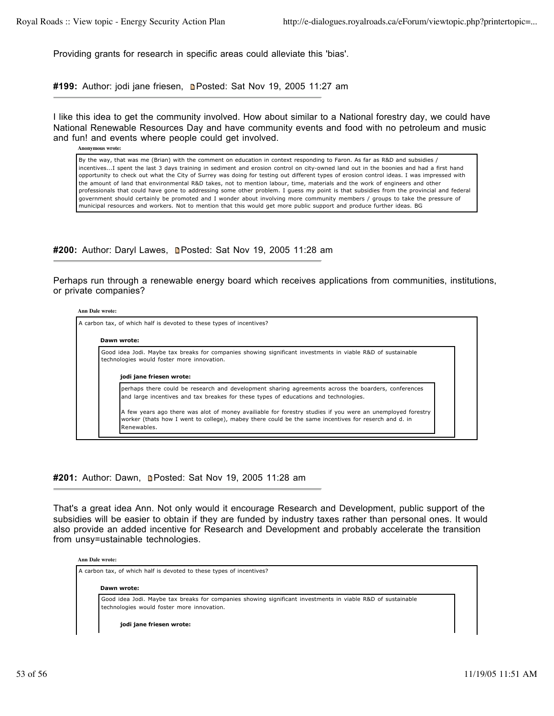Providing grants for research in specific areas could alleviate this 'bias'.

#199: Author: jodi jane friesen, **n**Posted: Sat Nov 19, 2005 11:27 am

I like this idea to get the community involved. How about similar to a National forestry day, we could have National Renewable Resources Day and have community events and food with no petroleum and music and fun! and events where people could get involved.

**Anonymous wrote:**

By the way, that was me (Brian) with the comment on education in context responding to Faron. As far as R&D and subsidies / incentives...I spent the last 3 days training in sediment and erosion control on city-owned land out in the boonies and had a first hand opportunity to check out what the City of Surrey was doing for testing out different types of erosion control ideas. I was impressed with the amount of land that environmental R&D takes, not to mention labour, time, materials and the work of engineers and other professionals that could have gone to addressing some other problem. I guess my point is that subsidies from the provincial and federal government should certainly be promoted and I wonder about involving more community members / groups to take the pressure of municipal resources and workers. Not to mention that this would get more public support and produce further ideas. BG

**#200:** Author: Daryl Lawes, **Denoted: Sat Nov 19, 2005 11:28 am** 

Perhaps run through a renewable energy board which receives applications from communities, institutions, or private companies?

#### **Ann Dale wrote:**

A carbon tax, of which half is devoted to these types of incentives? **Dawn wrote:** Good idea Jodi. Maybe tax breaks for companies showing significant investments in viable R&D of sustainable technologies would foster more innovation. **jodi jane friesen wrote:** perhaps there could be research and development sharing agreements across the boarders, conferences and large incentives and tax breakes for these types of educations and technologies. A few years ago there was alot of money availiable for forestry studies if you were an unemployed forestry worker (thats how I went to college), mabey there could be the same incentives for reserch and d. in Renewables.

## #201: Author: Dawn, **Denated: Sat Nov 19, 2005 11:28 am**

That's a great idea Ann. Not only would it encourage Research and Development, public support of the subsidies will be easier to obtain if they are funded by industry taxes rather than personal ones. It would also provide an added incentive for Research and Development and probably accelerate the transition from unsy=ustainable technologies.

#### **Ann Dale wrote:**

A carbon tax, of which half is devoted to these types of incentives?

#### **Dawn wrote:**

Good idea Jodi. Maybe tax breaks for companies showing significant investments in viable R&D of sustainable technologies would foster more innovation.

**jodi jane friesen wrote:**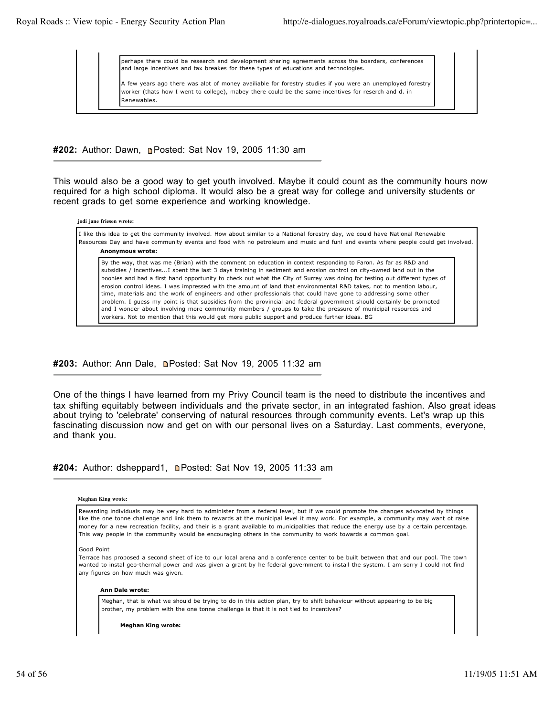perhaps there could be research and development sharing agreements across the boarders, conferences and large incentives and tax breakes for these types of educations and technologies.

A few years ago there was alot of money availiable for forestry studies if you were an unemployed forestry worker (thats how I went to college), mabey there could be the same incentives for reserch and d. in **Renewables** 

**#202:** Author: Dawn, Posted: Sat Nov 19, 2005 11:30 am

This would also be a good way to get youth involved. Maybe it could count as the community hours now required for a high school diploma. It would also be a great way for college and university students or recent grads to get some experience and working knowledge.

| jodi jane friesen wrote:                                                                                                                                                                                                                                                                                                                                                                                                                                                                                                                                                                                                                                                                                                                                                                                                                                                                                                                                |  |  |  |
|---------------------------------------------------------------------------------------------------------------------------------------------------------------------------------------------------------------------------------------------------------------------------------------------------------------------------------------------------------------------------------------------------------------------------------------------------------------------------------------------------------------------------------------------------------------------------------------------------------------------------------------------------------------------------------------------------------------------------------------------------------------------------------------------------------------------------------------------------------------------------------------------------------------------------------------------------------|--|--|--|
| I like this idea to get the community involved. How about similar to a National forestry day, we could have National Renewable<br>Resources Day and have community events and food with no petroleum and music and fun! and events where people could get involved.<br>Anonymous wrote:                                                                                                                                                                                                                                                                                                                                                                                                                                                                                                                                                                                                                                                                 |  |  |  |
| By the way, that was me (Brian) with the comment on education in context responding to Faron. As far as R&D and<br>subsidies / incentivesI spent the last 3 days training in sediment and erosion control on city-owned land out in the<br>boonies and had a first hand opportunity to check out what the City of Surrey was doing for testing out different types of<br>erosion control ideas. I was impressed with the amount of land that environmental R&D takes, not to mention labour,<br>time, materials and the work of engineers and other professionals that could have gone to addressing some other<br>problem. I quess my point is that subsidies from the provincial and federal government should certainly be promoted<br>and I wonder about involving more community members / groups to take the pressure of municipal resources and<br>workers. Not to mention that this would get more public support and produce further ideas. BG |  |  |  |

#203: Author: Ann Dale, **n**Posted: Sat Nov 19, 2005 11:32 am

One of the things I have learned from my Privy Council team is the need to distribute the incentives and tax shifting equitably between individuals and the private sector, in an integrated fashion. Also great ideas about trying to 'celebrate' conserving of natural resources through community events. Let's wrap up this fascinating discussion now and get on with our personal lives on a Saturday. Last comments, everyone, and thank you.

**#204:** Author: dsheppard1, Posted: Sat Nov 19, 2005 11:33 am

# **Meghan King wrote:**

Rewarding individuals may be very hard to administer from a federal level, but if we could promote the changes advocated by things like the one tonne challenge and link them to rewards at the municipal level it may work. For example, a community may want ot raise money for a new recreation facility, and their is a grant available to municipalities that reduce the energy use by a certain percentage. This way people in the community would be encouraging others in the community to work towards a common goal.

Good Point

Terrace has proposed a second sheet of ice to our local arena and a conference center to be built between that and our pool. The town wanted to instal geo-thermal power and was given a grant by he federal government to install the system. I am sorry I could not find any figures on how much was given.

#### **Ann Dale wrote:**

Meghan, that is what we should be trying to do in this action plan, try to shift behaviour without appearing to be big brother, my problem with the one tonne challenge is that it is not tied to incentives?

**Meghan King wrote:**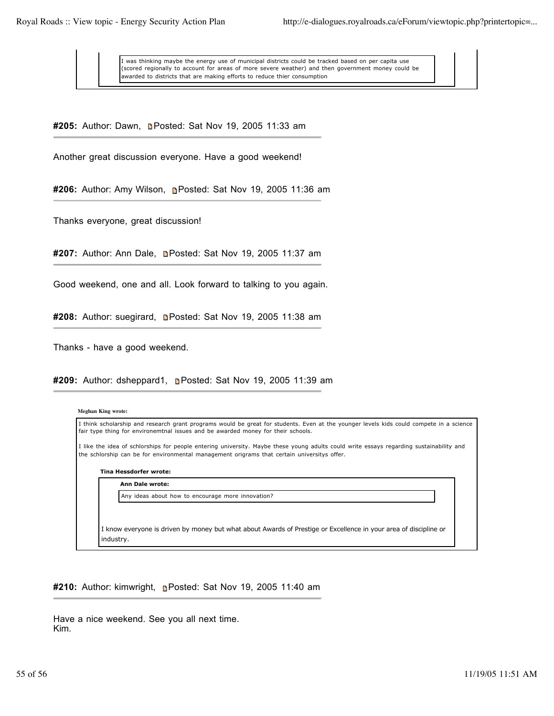was thinking maybe the energy use of municipal districts could be tracked based on per capita use (scored regionally to account for areas of more severe weather) and then government money could be awarded to districts that are making efforts to reduce thier consumption

#205: Author: Dawn, **n**Posted: Sat Nov 19, 2005 11:33 am

Another great discussion everyone. Have a good weekend!

**#206:** Author: Amy Wilson, Posted: Sat Nov 19, 2005 11:36 am

Thanks everyone, great discussion!

**#207:** Author: Ann Dale, Posted: Sat Nov 19, 2005 11:37 am

Good weekend, one and all. Look forward to talking to you again.

**#208:** Author: suegirard, Posted: Sat Nov 19, 2005 11:38 am

Thanks - have a good weekend.

**#209:** Author: dsheppard1, Posted: Sat Nov 19, 2005 11:39 am

| <b>Meghan King wrote:</b>                                                                                                                                                                                                              |
|----------------------------------------------------------------------------------------------------------------------------------------------------------------------------------------------------------------------------------------|
| I think scholarship and research grant programs would be great for students. Even at the younger levels kids could compete in a science<br>fair type thing for environemtnal issues and be awarded money for their schools.            |
| I like the idea of schlorships for people entering university. Maybe these young adults could write essays regarding sustainability and<br>the schlorship can be for environmental management origrams that certain universitys offer. |
| Tina Hessdorfer wrote:                                                                                                                                                                                                                 |
| Ann Dale wrote:                                                                                                                                                                                                                        |
| Any ideas about how to encourage more innovation?                                                                                                                                                                                      |
|                                                                                                                                                                                                                                        |
| I know everyone is driven by money but what about Awards of Prestige or Excellence in your area of discipline or<br>industry.                                                                                                          |

**#210:** Author: kimwright, Posted: Sat Nov 19, 2005 11:40 am

Have a nice weekend. See you all next time. Kim.